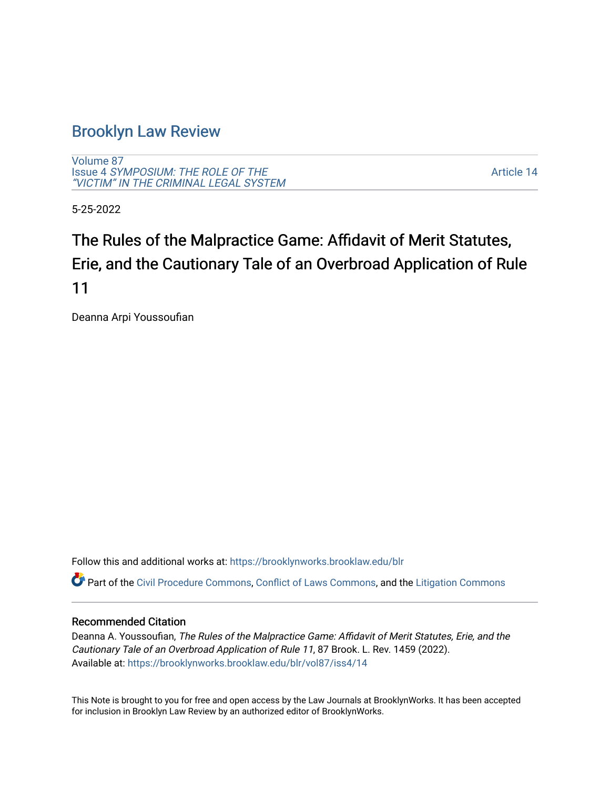# [Brooklyn Law Review](https://brooklynworks.brooklaw.edu/blr)

[Volume 87](https://brooklynworks.brooklaw.edu/blr/vol87) Issue 4 [SYMPOSIUM: THE ROLE OF THE](https://brooklynworks.brooklaw.edu/blr/vol87/iss4) ["VICTIM" IN THE CRIMINAL LEGAL SYSTEM](https://brooklynworks.brooklaw.edu/blr/vol87/iss4)

[Article 14](https://brooklynworks.brooklaw.edu/blr/vol87/iss4/14) 

5-25-2022

# The Rules of the Malpractice Game: Affidavit of Merit Statutes, Erie, and the Cautionary Tale of an Overbroad Application of Rule 11

Deanna Arpi Youssoufian

Follow this and additional works at: [https://brooklynworks.brooklaw.edu/blr](https://brooklynworks.brooklaw.edu/blr?utm_source=brooklynworks.brooklaw.edu%2Fblr%2Fvol87%2Fiss4%2F14&utm_medium=PDF&utm_campaign=PDFCoverPages) 

Part of the [Civil Procedure Commons,](https://network.bepress.com/hgg/discipline/584?utm_source=brooklynworks.brooklaw.edu%2Fblr%2Fvol87%2Fiss4%2F14&utm_medium=PDF&utm_campaign=PDFCoverPages) [Conflict of Laws Commons](https://network.bepress.com/hgg/discipline/588?utm_source=brooklynworks.brooklaw.edu%2Fblr%2Fvol87%2Fiss4%2F14&utm_medium=PDF&utm_campaign=PDFCoverPages), and the [Litigation Commons](https://network.bepress.com/hgg/discipline/910?utm_source=brooklynworks.brooklaw.edu%2Fblr%2Fvol87%2Fiss4%2F14&utm_medium=PDF&utm_campaign=PDFCoverPages) 

# Recommended Citation

Deanna A. Youssoufian, The Rules of the Malpractice Game: Affidavit of Merit Statutes, Erie, and the Cautionary Tale of an Overbroad Application of Rule 11, 87 Brook. L. Rev. 1459 (2022). Available at: [https://brooklynworks.brooklaw.edu/blr/vol87/iss4/14](https://brooklynworks.brooklaw.edu/blr/vol87/iss4/14?utm_source=brooklynworks.brooklaw.edu%2Fblr%2Fvol87%2Fiss4%2F14&utm_medium=PDF&utm_campaign=PDFCoverPages) 

This Note is brought to you for free and open access by the Law Journals at BrooklynWorks. It has been accepted for inclusion in Brooklyn Law Review by an authorized editor of BrooklynWorks.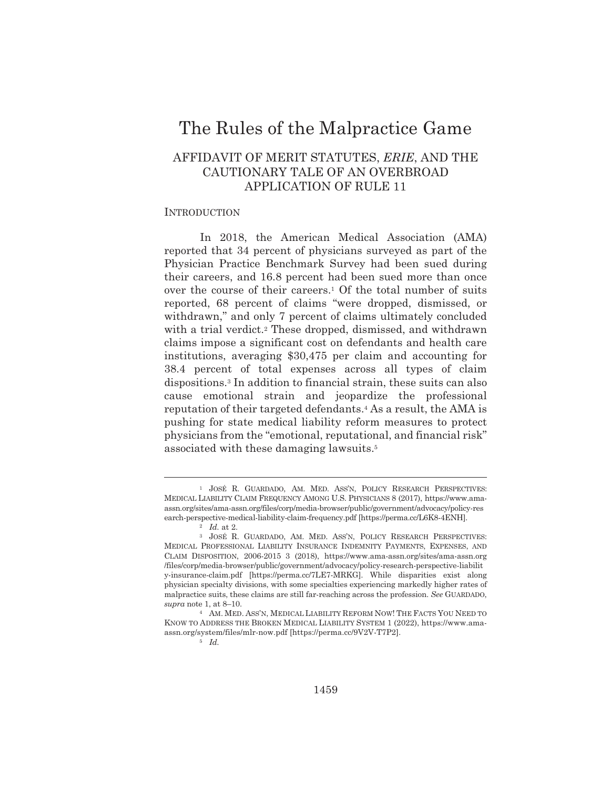# The Rules of the Malpractice Game

# AFFIDAVIT OF MERIT STATUTES, ERIE, AND THE CAUTIONARY TALE OF AN OVERBROAD **APPLICATION OF RULE 11**

## **INTRODUCTION**

In 2018, the American Medical Association (AMA) reported that 34 percent of physicians surveyed as part of the Physician Practice Benchmark Survey had been sued during their careers, and 16.8 percent had been sued more than once over the course of their careers.<sup>1</sup> Of the total number of suits reported, 68 percent of claims "were dropped, dismissed, or withdrawn," and only 7 percent of claims ultimately concluded with a trial verdict.<sup>2</sup> These dropped, dismissed, and withdrawn claims impose a significant cost on defendants and health care institutions, averaging \$30,475 per claim and accounting for 38.4 percent of total expenses across all types of claim dispositions.<sup>3</sup> In addition to financial strain, these suits can also cause emotional strain and jeopardize the professional reputation of their targeted defendants.<sup>4</sup> As a result, the AMA is pushing for state medical liability reform measures to protect physicians from the "emotional, reputational, and financial risk" associated with these damaging lawsuits.<sup>5</sup>

 $5 \quad Id.$ 

<sup>&</sup>lt;sup>1</sup> JOSÉ R. GUARDADO, AM. MED. ASS'N, POLICY RESEARCH PERSPECTIVES: MEDICAL LIABILITY CLAIM FREQUENCY AMONG U.S. PHYSICIANS 8 (2017), https://www.amaassn.org/sites/ama-assn.org/files/corp/media-browser/public/government/advocacy/policy-res earch-perspective-medical-liability-claim-frequency.pdf [https://perma.cc/L6K8-4ENH].

<sup>2</sup>  $Id$  at 2

<sup>&</sup>lt;sup>3</sup> JOSÉ R. GUARDADO, AM. MED. ASS'N, POLICY RESEARCH PERSPECTIVES: MEDICAL PROFESSIONAL LIABILITY INSURANCE INDEMNITY PAYMENTS, EXPENSES, AND CLAIM DISPOSITION, 2006-2015 3 (2018), https://www.ama-assn.org/sites/ama-assn.org /files/corp/media-browser/public/government/advocacy/policy-research-perspective-liabilit y-insurance-claim.pdf [https://perma.cc/7LE7-MRKG]. While disparities exist along physician specialty divisions, with some specialties experiencing markedly higher rates of malpractice suits, these claims are still far-reaching across the profession. See GUARDADO, supra note 1, at  $8-10$ .

<sup>&</sup>lt;sup>4</sup> AM. MED. ASS'N, MEDICAL LIABILITY REFORM NOW! THE FACTS YOU NEED TO KNOW TO ADDRESS THE BROKEN MEDICAL LIABILITY SYSTEM 1 (2022), https://www.amaassn.org/system/files/mlr-now.pdf [https://perma.cc/9V2V-T7P2].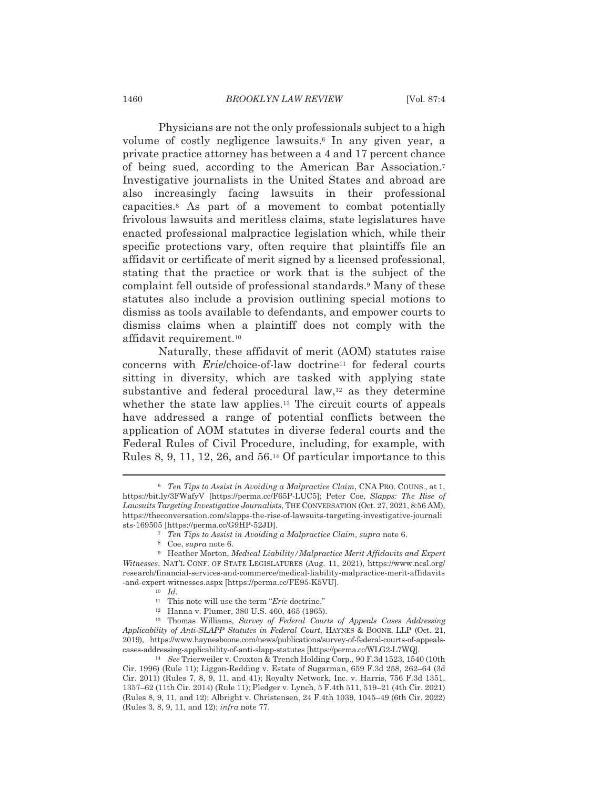## **BROOKLYN LAW REVIEW**

Physicians are not the only professionals subject to a high volume of costly negligence lawsuits.<sup>6</sup> In any given year, a private practice attorney has between a 4 and 17 percent chance of being sued, according to the American Bar Association.<sup>7</sup> Investigative journalists in the United States and abroad are also increasingly facing lawsuits in their professional capacities.<sup>8</sup> As part of a movement to combat potentially frivolous lawsuits and meritless claims, state legislatures have enacted professional malpractice legislation which, while their specific protections vary, often require that plaintiffs file an affidavit or certificate of merit signed by a licensed professional, stating that the practice or work that is the subject of the complaint fell outside of professional standards.<sup>9</sup> Many of these statutes also include a provision outlining special motions to dismiss as tools available to defendants, and empower courts to dismiss claims when a plaintiff does not comply with the affidavit requirement.<sup>10</sup>

Naturally, these affidavit of merit (AOM) statutes raise concerns with *Erielchoice-of-law* doctrine<sup>11</sup> for federal courts sitting in diversity, which are tasked with applying state substantive and federal procedural law,<sup>12</sup> as they determine whether the state law applies.<sup>13</sup> The circuit courts of appeals have addressed a range of potential conflicts between the application of AOM statutes in diverse federal courts and the Federal Rules of Civil Procedure, including, for example, with Rules 8, 9, 11, 12, 26, and  $56<sup>14</sup>$  Of particular importance to this

<sup>13</sup> Thomas Williams, Survey of Federal Courts of Appeals Cases Addressing Applicability of Anti-SLAPP Statutes in Federal Court, HAYNES & BOONE, LLP (Oct. 21, 2019), https://www.haynesboone.com/news/publications/survey-of-federal-courts-of-appealscases-addressing-applicability-of-anti-slapp-statutes [https://perma.cc/WLG2-L7WQ].

<sup>14</sup> See Trierweiler v. Croxton & Trench Holding Corp., 90 F.3d 1523, 1540 (10th Cir. 1996) (Rule 11); Liggon-Redding v. Estate of Sugarman, 659 F.3d 258, 262-64 (3d Cir. 2011) (Rules 7, 8, 9, 11, and 41); Royalty Network, Inc. v. Harris, 756 F.3d 1351, 1357–62 (11th Cir. 2014) (Rule 11); Pledger v. Lynch, 5 F.4th 511, 519–21 (4th Cir. 2021) (Rules 8, 9, 11, and 12); Albright v. Christensen, 24 F.4th 1039, 1045–49 (6th Cir. 2022) (Rules 3, 8, 9, 11, and 12); infra note 77.

<sup>&</sup>lt;sup>6</sup> Ten Tips to Assist in Avoiding a Malpractice Claim, CNA PRO. COUNS., at 1, https://bit.ly/3FWafyV [https://perma.cc/F65P-LUC5]; Peter Coe, Slapps: The Rise of Lawsuits Targeting Investigative Journalists, THE CONVERSATION (Oct. 27, 2021, 8:56 AM), https://theconversation.com/slapps-the-rise-of-lawsuits-targeting-investigative-journali sts-169505 [https://perma.cc/G9HP-52JD].

<sup>&</sup>lt;sup>7</sup> Ten Tips to Assist in Avoiding a Malpractice Claim, supra note 6.

<sup>&</sup>lt;sup>8</sup> Coe, *supra* note 6.

 $^9$  Heather Morton, Medical Liability/Malpractice Merit Affidavits and Expert Witnesses, NAT'L CONF. OF STATE LEGISLATURES (Aug. 11, 2021), https://www.ncsl.org/ research/financial-services-and-commerce/medical-liability-malpractice-merit-affidavits -and-expert-witnesses.aspx [https://perma.cc/FE95-K5VU].

 $10$  Id.

 $^{\rm 11}~$  This note will use the term " $Erie$  doctrine."

<sup>&</sup>lt;sup>12</sup> Hanna v. Plumer, 380 U.S. 460, 465 (1965).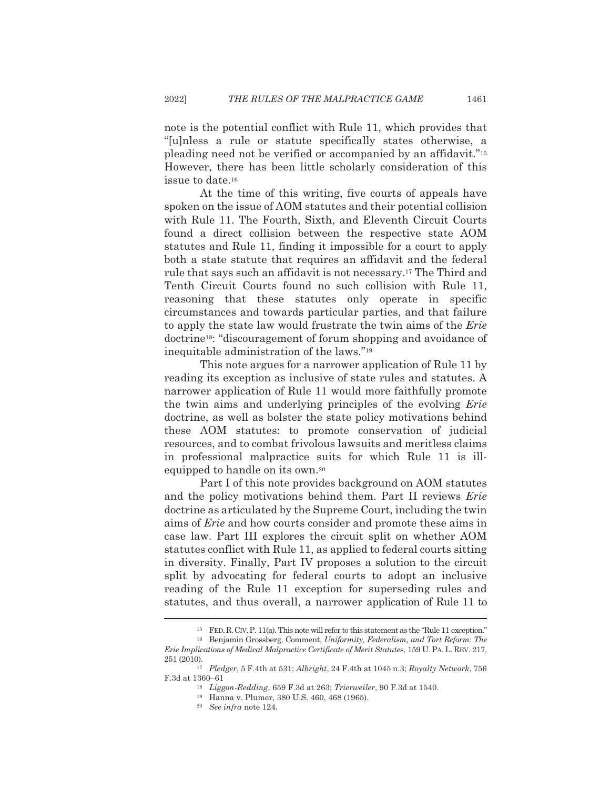note is the potential conflict with Rule 11, which provides that "[u]nless a rule or statute specifically states otherwise, a pleading need not be verified or accompanied by an affidavit."<sup>15</sup> However, there has been little scholarly consideration of this issue to date.<sup>16</sup>

At the time of this writing, five courts of appeals have spoken on the issue of AOM statutes and their potential collision with Rule 11. The Fourth, Sixth, and Eleventh Circuit Courts found a direct collision between the respective state AOM statutes and Rule 11, finding it impossible for a court to apply both a state statute that requires an affidavit and the federal rule that says such an affidavit is not necessary.<sup>17</sup> The Third and Tenth Circuit Courts found no such collision with Rule 11, reasoning that these statutes only operate in specific circumstances and towards particular parties, and that failure to apply the state law would frustrate the twin aims of the Erie doctrine<sup>18</sup>: "discouragement of forum shopping and avoidance of inequitable administration of the laws."<sup>19</sup>

This note argues for a narrower application of Rule 11 by reading its exception as inclusive of state rules and statutes. A narrower application of Rule 11 would more faithfully promote the twin aims and underlying principles of the evolving *Erie* doctrine, as well as bolster the state policy motivations behind these AOM statutes: to promote conservation of judicial resources, and to combat frivolous lawsuits and meritless claims in professional malpractice suits for which Rule 11 is illequipped to handle on its own.<sup>20</sup>

Part I of this note provides background on AOM statutes and the policy motivations behind them. Part II reviews Erie doctrine as articulated by the Supreme Court, including the twin aims of *Erie* and how courts consider and promote these aims in case law. Part III explores the circuit split on whether AOM statutes conflict with Rule 11, as applied to federal courts sitting in diversity. Finally, Part IV proposes a solution to the circuit split by advocating for federal courts to adopt an inclusive reading of the Rule 11 exception for superseding rules and statutes, and thus overall, a narrower application of Rule 11 to

<sup>&</sup>lt;sup>15</sup> FED. R. CIV. P. 11(a). This note will refer to this statement as the "Rule 11 exception."

<sup>&</sup>lt;sup>16</sup> Benjamin Grossberg, Comment, Uniformity, Federalism, and Tort Reform: The Erie Implications of Medical Malpractice Certificate of Merit Statutes, 159 U. PA. L. REV. 217, 251 (2010).

<sup>&</sup>lt;sup>17</sup> Pledger, 5 F.4th at 531; Albright, 24 F.4th at 1045 n.3; Royalty Network, 756 F.3d at 1360-61

<sup>&</sup>lt;sup>18</sup> Liggon-Redding, 659 F.3d at 263; Trierweiler, 90 F.3d at 1540.

<sup>&</sup>lt;sup>19</sup> Hanna v. Plumer, 380 U.S. 460, 468 (1965).

 $20$  See infra note 124.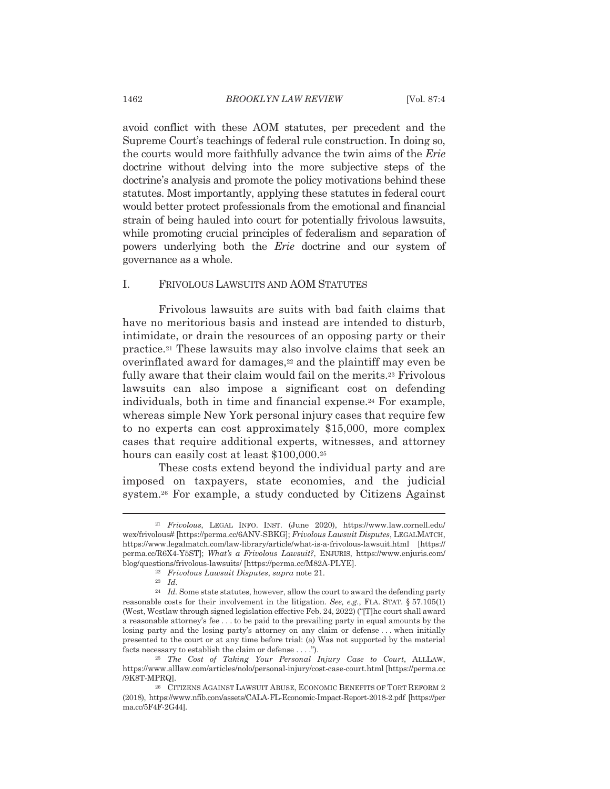avoid conflict with these AOM statutes, per precedent and the Supreme Court's teachings of federal rule construction. In doing so, the courts would more faithfully advance the twin aims of the Erie doctrine without delving into the more subjective steps of the doctrine's analysis and promote the policy motivations behind these statutes. Most importantly, applying these statutes in federal court would better protect professionals from the emotional and financial strain of being hauled into court for potentially frivolous lawsuits, while promoting crucial principles of federalism and separation of powers underlying both the *Erie* doctrine and our system of governance as a whole.

#### I. FRIVOLOUS LAWSUITS AND AOM STATUTES

Frivolous lawsuits are suits with bad faith claims that have no meritorious basis and instead are intended to disturb, intimidate, or drain the resources of an opposing party or their practice.<sup>21</sup> These lawsuits may also involve claims that seek an overinflated award for damages,<sup>22</sup> and the plaintiff may even be fully aware that their claim would fail on the merits.<sup>23</sup> Frivolous lawsuits can also impose a significant cost on defending individuals, both in time and financial expense.<sup>24</sup> For example, whereas simple New York personal injury cases that require few to no experts can cost approximately \$15,000, more complex cases that require additional experts, witnesses, and attorney hours can easily cost at least \$100,000.<sup>25</sup>

These costs extend beyond the individual party and are imposed on taxpayers, state economies, and the judicial system.<sup>26</sup> For example, a study conducted by Citizens Against

<sup>&</sup>lt;sup>21</sup> Frivolous, LEGAL INFO. INST. (June 2020), https://www.law.cornell.edu/ wex/frivolous# [https://perma.cc/6ANV-SBKG]; Frivolous Lawsuit Disputes, LEGALMATCH, https://www.legalmatch.com/law-library/article/what-is-a-frivolous-lawsuit.html [https:// perma.cc/R6X4-Y5ST]; What's a Frivolous Lawsuit?, ENJURIS, https://www.enjuris.com/ blog/questions/frivolous-lawsuits/ [https://perma.cc/M82A-PLYE].

<sup>&</sup>lt;sup>22</sup> Frivolous Lawsuit Disputes, supra note 21.

 $23$  *Id.* 

 $^{24}$  *Id.* Some state statutes, however, allow the court to award the defending party reasonable costs for their involvement in the litigation. See, e.g., FLA. STAT. § 57.105(1) (West, Westlaw through signed legislation effective Feb. 24, 2022) ("The court shall award a reasonable attorney's fee . . . to be paid to the prevailing party in equal amounts by the losing party and the losing party's attorney on any claim or defense...when initially presented to the court or at any time before trial: (a) Was not supported by the material facts necessary to establish the claim or defense . . . .").

<sup>&</sup>lt;sup>25</sup> The Cost of Taking Your Personal Injury Case to Court, ALLLAW, https://www.alllaw.com/articles/nolo/personal-injury/cost-case-court.html [https://perma.cc /9K8T-MPRQ].

<sup>&</sup>lt;sup>26</sup> CITIZENS AGAINST LAWSUIT ABUSE, ECONOMIC BENEFITS OF TORT REFORM 2 (2018), https://www.nfib.com/assets/CALA-FL-Economic-Impact-Report-2018-2.pdf [https://per ma.cc/5F4F-2G44].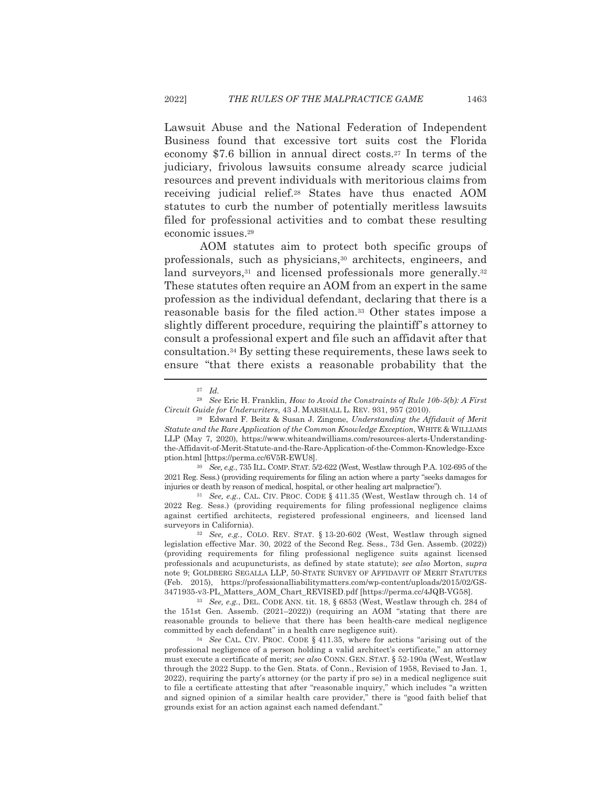Lawsuit Abuse and the National Federation of Independent Business found that excessive tort suits cost the Florida economy \$7.6 billion in annual direct costs.<sup>27</sup> In terms of the judiciary, frivolous lawsuits consume already scarce judicial resources and prevent individuals with meritorious claims from receiving judicial relief.<sup>28</sup> States have thus enacted AOM statutes to curb the number of potentially meritless lawsuits filed for professional activities and to combat these resulting economic issues.<sup>29</sup>

AOM statutes aim to protect both specific groups of professionals, such as physicians,<sup>30</sup> architects, engineers, and land surveyors,<sup>31</sup> and licensed professionals more generally.<sup>32</sup> These statutes often require an AOM from an expert in the same profession as the individual defendant, declaring that there is a reasonable basis for the filed action.<sup>33</sup> Other states impose a slightly different procedure, requiring the plaintiff's attorney to consult a professional expert and file such an affidavit after that consultation.<sup>34</sup> By setting these requirements, these laws seek to ensure "that there exists a reasonable probability that the

<sup>30</sup> See, e.g., 735 ILL, COMP, STAT, 5/2-622 (West, Westlaw through P.A. 102-695 of the 2021 Reg. Sess.) (providing requirements for filing an action where a party "seeks damages for injuries or death by reason of medical, hospital, or other healing art malpractice").

<sup>31</sup> See, e.g., CAL. CIV. PROC. CODE § 411.35 (West, Westlaw through ch. 14 of 2022 Reg. Sess.) (providing requirements for filing professional negligence claims against certified architects, registered professional engineers, and licensed land surveyors in California).

<sup>32</sup> See, e.g., COLO. REV. STAT. § 13-20-602 (West, Westlaw through signed legislation effective Mar. 30, 2022 of the Second Reg. Sess., 73d Gen. Assemb. (2022)) (providing requirements for filing professional negligence suits against licensed professionals and acupuncturists, as defined by state statute); see also Morton, supra note 9; GOLDBERG SEGALLA LLP, 50-STATE SURVEY OF AFFIDAVIT OF MERIT STATUTES (Feb. 2015), https://professionalliabilitymatters.com/wp-content/uploads/2015/02/GS-3471935-v3-PL\_Matters\_AOM\_Chart\_REVISED.pdf [https://perma.cc/4JQB-VG58].

<sup>33</sup> See, e.g., DEL. CODE ANN. tit. 18, § 6853 (West, Westlaw through ch. 284 of the 151st Gen. Assemb. (2021-2022)) (requiring an AOM "stating that there are reasonable grounds to believe that there has been health-care medical negligence committed by each defendant" in a health care negligence suit).

<sup>34</sup> See CAL. CIV. PROC. CODE § 411.35, where for actions "arising out of the professional negligence of a person holding a valid architect's certificate," an attorney must execute a certificate of merit; see also CONN. GEN. STAT. § 52-190a (West, Westlaw through the 2022 Supp. to the Gen. Stats. of Conn., Revision of 1958, Revised to Jan. 1, 2022), requiring the party's attorney (or the party if pro se) in a medical negligence suit to file a certificate attesting that after "reasonable inquiry," which includes "a written and signed opinion of a similar health care provider," there is "good faith belief that grounds exist for an action against each named defendant."

 $27$  *Id.* 

<sup>&</sup>lt;sup>28</sup> See Eric H. Franklin, *How to Avoid the Constraints of Rule 10b-5(b): A First* Circuit Guide for Underwriters, 43 J. MARSHALL L. REV. 931, 957 (2010).

<sup>&</sup>lt;sup>29</sup> Edward F. Beitz & Susan J. Zingone, Understanding the Affidavit of Merit Statute and the Rare Application of the Common Knowledge Exception, WHITE & WILLIAMS LLP (May 7, 2020), https://www.whiteandwilliams.com/resources-alerts-Understandingthe-Affidavit-of-Merit-Statute-and-the-Rare-Application-of-the-Common-Knowledge-Exce ption.html [https://perma.cc/6V5R-EWU8].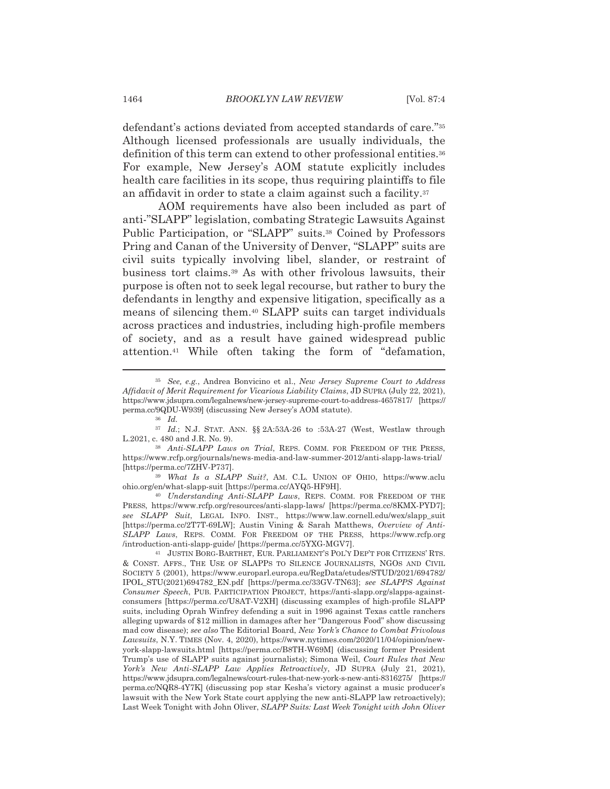defendant's actions deviated from accepted standards of care."35 Although licensed professionals are usually individuals, the definition of this term can extend to other professional entities.<sup>36</sup> For example, New Jersey's AOM statute explicitly includes health care facilities in its scope, thus requiring plaintiffs to file an affidavit in order to state a claim against such a facility.<sup>37</sup>

AOM requirements have also been included as part of anti-"SLAPP" legislation, combating Strategic Lawsuits Against Public Participation, or "SLAPP" suits.<sup>38</sup> Coined by Professors Pring and Canan of the University of Denver, "SLAPP" suits are civil suits typically involving libel, slander, or restraint of business tort claims.<sup>39</sup> As with other frivolous lawsuits, their purpose is often not to seek legal recourse, but rather to bury the defendants in lengthy and expensive litigation, specifically as a means of silencing them.<sup>40</sup> SLAPP suits can target individuals across practices and industries, including high-profile members of society, and as a result have gained widespread public attention.<sup>41</sup> While often taking the form of "defamation,

<sup>&</sup>lt;sup>35</sup> See, e.g., Andrea Bonvicino et al., New Jersey Supreme Court to Address Affidavit of Merit Requirement for Vicarious Liability Claims, JD SUPRA (July 22, 2021), https://www.jdsupra.com/legalnews/new-jersey-supreme-court-to-address-4657817/ [https:// perma.cc/9QDU-W939] (discussing New Jersey's AOM statute).

 $36$  *Id.* 

<sup>&</sup>lt;sup>37</sup> Id.; N.J. STAT. ANN. §§ 2A:53A-26 to :53A-27 (West, Westlaw through L.2021, c. 480 and J.R. No. 9).

<sup>38</sup> Anti-SLAPP Laws on Trial, REPS. COMM. FOR FREEDOM OF THE PRESS, https://www.rcfp.org/journals/news-media-and-law-summer-2012/anti-slapp-laws-trial/ [https://perma.cc/7ZHV-P737].

<sup>&</sup>lt;sup>39</sup> What Is a SLAPP Suit?, AM. C.L. UNION OF OHIO, https://www.aclu ohio.org/en/what-slapp-suit [https://perma.cc/AYQ5-HF9H].

<sup>&</sup>lt;sup>40</sup> Understanding Anti-SLAPP Laws, REPS. COMM. FOR FREEDOM OF THE PRESS, https://www.rcfp.org/resources/anti-slapp-laws/ [https://perma.cc/8KMX-PYD7]; see SLAPP Suit, LEGAL INFO. INST., https://www.law.cornell.edu/wex/slapp\_suit [https://perma.cc/2T7T-69LW]; Austin Vining & Sarah Matthews, Overview of Anti-SLAPP Laws. REPS. COMM. FOR FREEDOM OF THE PRESS. https://www.rcfp.org /introduction-anti-slapp-guide/ [https://perma.cc/5YXG-MGV7].

<sup>&</sup>lt;sup>41</sup> JUSTIN BORG-BARTHET, EUR. PARLIAMENT'S POL'Y DEP'T FOR CITIZENS' RTS. & CONST. AFFS., THE USE OF SLAPPS TO SILENCE JOURNALISTS, NGOS AND CIVIL SOCIETY 5 (2001), https://www.europarl.europa.eu/RegData/etudes/STUD/2021/694782/ IPOL\_STU(2021)694782\_EN.pdf [https://perma.cc/33GV-TN63]; see SLAPPS Against Consumer Speech, PUB. PARTICIPATION PROJECT, https://anti-slapp.org/slapps-againstconsumers [https://perma.cc/U8AT-V2XH] (discussing examples of high-profile SLAPP suits, including Oprah Winfrey defending a suit in 1996 against Texas cattle ranchers alleging upwards of \$12 million in damages after her "Dangerous Food" show discussing mad cow disease); see also The Editorial Board, New York's Chance to Combat Frivolous Lawsuits, N.Y. TIMES (Nov. 4, 2020), https://www.nytimes.com/2020/11/04/opinion/newyork-slapp-lawsuits.html [https://perma.cc/B8TH-W69M] (discussing former President Trump's use of SLAPP suits against journalists); Simona Weil, Court Rules that New York's New Anti-SLAPP Law Applies Retroactively, JD SUPRA (July 21, 2021), https://www.jdsupra.com/legalnews/court-rules-that-new-york-s-new-anti-8316275/ [https:// perma.cc/NQR8-4Y7K] (discussing pop star Kesha's victory against a music producer's lawsuit with the New York State court applying the new anti-SLAPP law retroactively); Last Week Tonight with John Oliver, SLAPP Suits: Last Week Tonight with John Oliver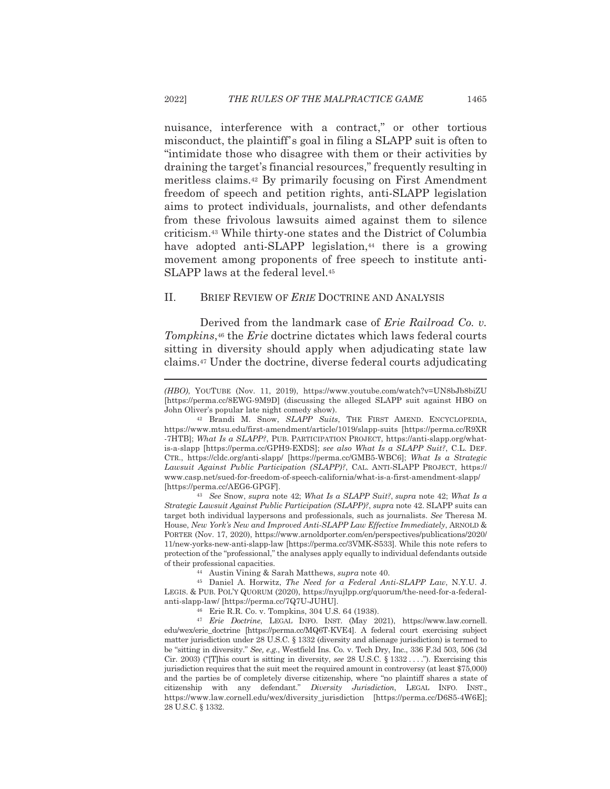2022]

nuisance, interference with a contract," or other tortious misconduct, the plaintiff's goal in filing a SLAPP suit is often to "intimidate those who disagree with them or their activities by draining the target's financial resources," frequently resulting in meritless claims.<sup>42</sup> By primarily focusing on First Amendment freedom of speech and petition rights, anti-SLAPP legislation aims to protect individuals, journalists, and other defendants from these frivolous lawsuits aimed against them to silence criticism.<sup>43</sup> While thirty-one states and the District of Columbia have adopted anti-SLAPP legislation,<sup>44</sup> there is a growing movement among proponents of free speech to institute anti-SLAPP laws at the federal level.<sup>45</sup>

#### $II.$ BRIEF REVIEW OF *ERIE* DOCTRINE AND ANALYSIS

Derived from the landmark case of *Erie Railroad Co. v.* Tompkins,<sup>46</sup> the Eric doctrine dictates which laws federal courts sitting in diversity should apply when adjudicating state law claims.<sup>47</sup> Under the doctrine, diverse federal courts adjudicating

<sup>43</sup> See Snow, supra note 42; What Is a SLAPP Suit?, supra note 42; What Is a Strategic Lawsuit Against Public Participation (SLAPP)?, supra note 42. SLAPP suits can target both individual laypersons and professionals, such as journalists. See Theresa M. House, New York's New and Improved Anti-SLAPP Law Effective Immediately, ARNOLD & PORTER (Nov. 17, 2020), https://www.arnoldporter.com/en/perspectives/publications/2020/ 11/new-yorks-new-anti-slapp-law [https://perma.cc/3VMK-S533]. While this note refers to protection of the "professional," the analyses apply equally to individual defendants outside of their professional capacities.

<sup>44</sup> Austin Vining & Sarah Matthews, *supra* note 40.

<sup>45</sup> Daniel A. Horwitz, *The Need for a Federal Anti-SLAPP Law*, N.Y.U. J. LEGIS. & PUB. POL'Y QUORUM (2020), https://nyujlpp.org/quorum/the-need-for-a-federalanti-slapp-law/ [https://perma.cc/7Q7U-JUHU].

<sup>46</sup> Erie R.R. Co. v. Tompkins, 304 U.S. 64 (1938).

<sup>47</sup> Erie Doctrine, LEGAL INFO. INST. (May 2021), https://www.law.cornell. edu/wex/erie\_doctrine [https://perma.cc/MQ6T-KVE4]. A federal court exercising subject matter jurisdiction under 28 U.S.C. § 1332 (diversity and alienage jurisdiction) is termed to be "sitting in diversity." See, e.g., Westfield Ins. Co. v. Tech Dry, Inc., 336 F.3d 503, 506 (3d Cir. 2003) ("This court is sitting in diversity, see 28 U.S.C. § 1332..."). Exercising this jurisdiction requires that the suit meet the required amount in controversy (at least \$75,000) and the parties be of completely diverse citizenship, where "no plaintiff shares a state of citizenship with any defendant." Diversity Jurisdiction, LEGAL INFO. INST., https://www.law.cornell.edu/wex/diversity\_jurisdiction [https://perma.cc/D6S5-4W6E]; 28 U.S.C. § 1332.

1465

<sup>(</sup>HBO), YOUTUBE (Nov. 11, 2019), https://www.youtube.com/watch?v=UN8bJb8biZU [https://perma.cc/8EWG-9M9D] (discussing the alleged SLAPP suit against HBO on John Oliver's popular late night comedy show).

<sup>&</sup>lt;sup>42</sup> Brandi M. Snow, SLAPP Suits, THE FIRST AMEND. ENCYCLOPEDIA. https://www.mtsu.edu/first-amendment/article/1019/slapp-suits [https://perma.cc/R9XR -7HTB]; What Is a SLAPP?, PUB. PARTICIPATION PROJECT, https://anti-slapp.org/whatis-a-slapp [https://perma.cc/GPH9-EXDS]; see also What Is a SLAPP Suit?, C.L. DEF. CTR., https://cldc.org/anti-slapp/ [https://perma.cc/GMB5-WBC6]; What Is a Strategic Lawsuit Against Public Participation (SLAPP)?, CAL. ANTI-SLAPP PROJECT, https:// www.casp.net/sued-for-freedom-of-speech-california/what-is-a-first-amendment-slapp/ [https://perma.cc/AEG6-GPGF].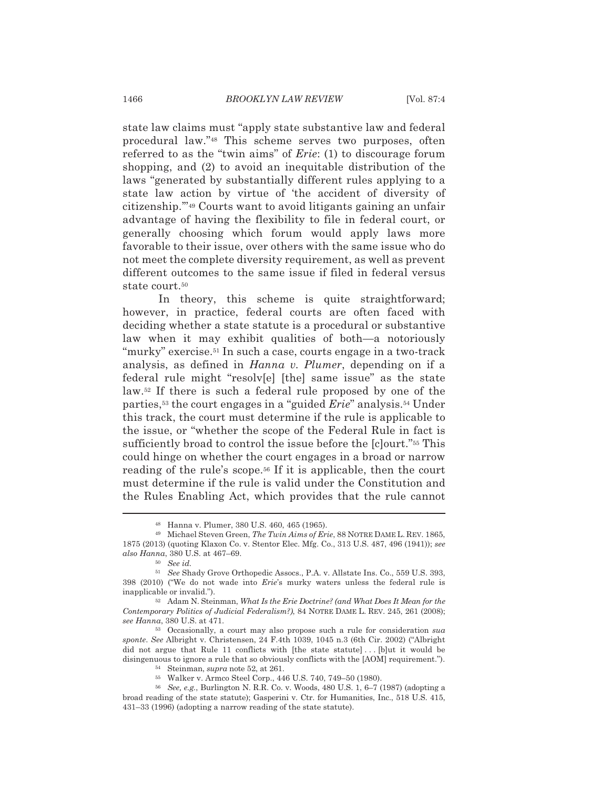state law claims must "apply state substantive law and federal procedural law."<sup>48</sup> This scheme serves two purposes, often referred to as the "twin aims" of  $Eric: (1)$  to discourage forum shopping, and (2) to avoid an inequitable distribution of the laws "generated by substantially different rules applying to a state law action by virtue of 'the accident of diversity of citizenship."<sup>49</sup> Courts want to avoid litigants gaining an unfair advantage of having the flexibility to file in federal court, or generally choosing which forum would apply laws more favorable to their issue, over others with the same issue who do not meet the complete diversity requirement, as well as prevent different outcomes to the same issue if filed in federal versus state court.<sup>50</sup>

In theory, this scheme is quite straightforward; however, in practice, federal courts are often faced with deciding whether a state statute is a procedural or substantive law when it may exhibit qualities of both—a notoriously "murky" exercise.<sup>51</sup> In such a case, courts engage in a two-track analysis, as defined in *Hanna v. Plumer*, depending on if a federal rule might "resolv[e] [the] same issue" as the state law.<sup>52</sup> If there is such a federal rule proposed by one of the parties,<sup>53</sup> the court engages in a "guided *Erie*" analysis.<sup>54</sup> Under this track, the court must determine if the rule is applicable to the issue, or "whether the scope of the Federal Rule in fact is sufficiently broad to control the issue before the [clourt."<sup>55</sup> This could hinge on whether the court engages in a broad or narrow reading of the rule's scope.<sup>56</sup> If it is applicable, then the court must determine if the rule is valid under the Constitution and the Rules Enabling Act, which provides that the rule cannot

<sup>48</sup> Hanna v. Plumer, 380 U.S. 460, 465 (1965).

<sup>&</sup>lt;sup>49</sup> Michael Steven Green. The Twin Aims of Erie. 88 NOTRE DAME L. REV. 1865. 1875 (2013) (quoting Klaxon Co. v. Stentor Elec. Mfg. Co., 313 U.S. 487, 496 (1941)); see also Hanna, 380 U.S. at 467-69.

 $50$  See id.

<sup>&</sup>lt;sup>51</sup> See Shady Grove Orthopedic Assocs., P.A. v. Allstate Ins. Co., 559 U.S. 393, 398 (2010) ("We do not wade into *Erie's* murky waters unless the federal rule is inapplicable or invalid.").

<sup>&</sup>lt;sup>52</sup> Adam N. Steinman, What Is the Erie Doctrine? (and What Does It Mean for the Contemporary Politics of Judicial Federalism?), 84 NOTRE DAME L. REV. 245, 261 (2008); see Hanna, 380 U.S. at 471.

<sup>&</sup>lt;sup>53</sup> Occasionally, a court may also propose such a rule for consideration sua sponte. See Albright v. Christensen, 24 F.4th 1039, 1045 n.3 (6th Cir. 2002) ("Albright did not argue that Rule 11 conflicts with [the state statute]... [b]ut it would be disingenuous to ignore a rule that so obviously conflicts with the [AOM] requirement.").

<sup>&</sup>lt;sup>54</sup> Steinman, *supra* note 52, at 261.

<sup>55</sup> Walker v. Armco Steel Corp., 446 U.S. 740, 749-50 (1980).

 $56$  See, e.g., Burlington N. R.R. Co. v. Woods, 480 U.S. 1, 6–7 (1987) (adopting a broad reading of the state statute); Gasperini v. Ctr. for Humanities, Inc., 518 U.S. 415, 431-33 (1996) (adopting a narrow reading of the state statute).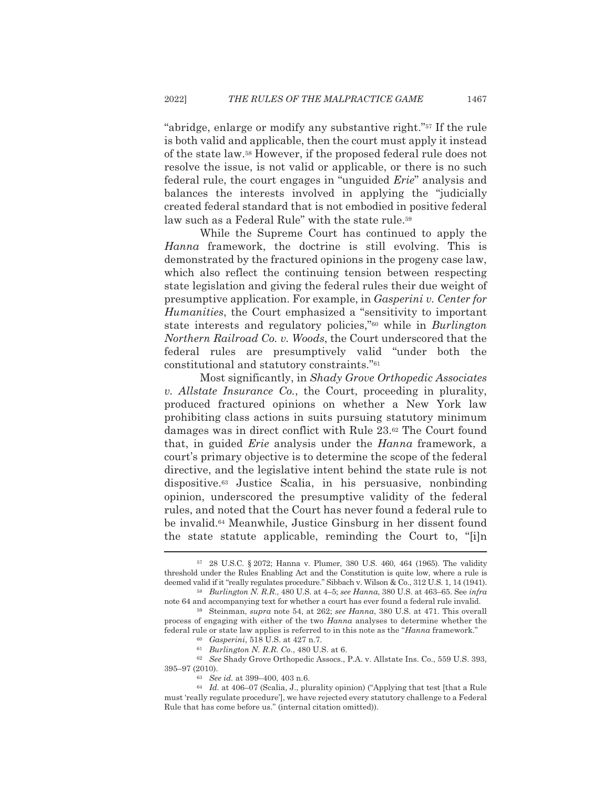"abridge, enlarge or modify any substantive right."<sup>57</sup> If the rule is both valid and applicable, then the court must apply it instead of the state law.<sup>58</sup> However, if the proposed federal rule does not resolve the issue, is not valid or applicable, or there is no such federal rule, the court engages in "unguided Erie" analysis and balances the interests involved in applying the "judicially created federal standard that is not embodied in positive federal law such as a Federal Rule" with the state rule.<sup>59</sup>

While the Supreme Court has continued to apply the Hanna framework, the doctrine is still evolving. This is demonstrated by the fractured opinions in the progeny case law. which also reflect the continuing tension between respecting state legislation and giving the federal rules their due weight of presumptive application. For example, in *Gasperini v. Center for Humanities*, the Court emphasized a "sensitivity to important" state interests and regulatory policies,"<sup>60</sup> while in *Burlington* Northern Railroad Co. v. Woods, the Court underscored that the federal rules are presumptively valid "under both the constitutional and statutory constraints."<sup>61</sup>

Most significantly, in Shady Grove Orthopedic Associates v. Allstate Insurance Co., the Court, proceeding in plurality, produced fractured opinions on whether a New York law prohibiting class actions in suits pursuing statutory minimum damages was in direct conflict with Rule 23.<sup>62</sup> The Court found that, in guided *Erie* analysis under the *Hanna* framework, a court's primary objective is to determine the scope of the federal directive, and the legislative intent behind the state rule is not dispositive.<sup>63</sup> Justice Scalia, in his persuasive, nonbinding opinion, underscored the presumptive validity of the federal rules, and noted that the Court has never found a federal rule to be invalid.<sup>64</sup> Meanwhile, Justice Ginsburg in her dissent found the state statute applicable, reminding the Court to, "[i]n

60 *Gasperini*, 518 U.S. at 427 n.7.

63 See id. at 399-400, 403 n.6.

<sup>57 28</sup> U.S.C. § 2072; Hanna v. Plumer, 380 U.S. 460, 464 (1965). The validity threshold under the Rules Enabling Act and the Constitution is quite low, where a rule is deemed valid if it "really regulates procedure." Sibbach v. Wilson & Co., 312 U.S. 1, 14 (1941).  $58$  Burlington N. R.R., 480 U.S. at 4–5; see Hanna, 380 U.S. at 463–65. See infra

note 64 and accompanying text for whether a court has ever found a federal rule invalid.

<sup>59</sup> Steinman, supra note 54, at 262; see Hanna, 380 U.S. at 471. This overall process of engaging with either of the two *Hanna* analyses to determine whether the federal rule or state law applies is referred to in this note as the "Hanna framework."

 $61$  Burlington N. R.R. Co., 480 U.S. at 6.

<sup>62</sup> See Shady Grove Orthopedic Assocs., P.A. v. Allstate Ins. Co., 559 U.S. 393, 395-97 (2010).

<sup>&</sup>lt;sup>64</sup> Id. at 406–07 (Scalia, J., plurality opinion) ("Applying that test [that a Rule must 'really regulate procedure'), we have rejected every statutory challenge to a Federal Rule that has come before us." (internal citation omitted)).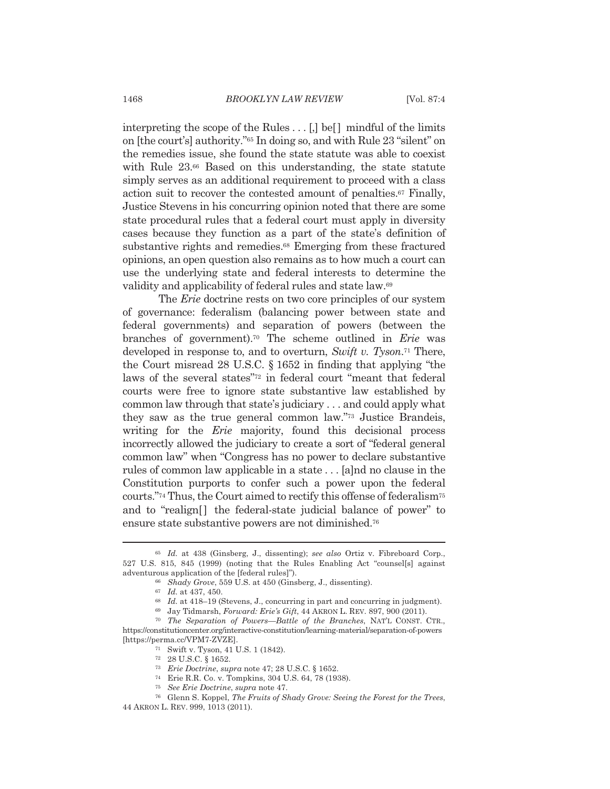interpreting the scope of the Rules . . . [,] be [] mindful of the limits on [the court's] authority."<sup>65</sup> In doing so, and with Rule 23 "silent" on the remedies issue, she found the state statute was able to coexist with Rule 23.<sup>66</sup> Based on this understanding, the state statute simply serves as an additional requirement to proceed with a class action suit to recover the contested amount of penalties.<sup>67</sup> Finally, Justice Stevens in his concurring opinion noted that there are some state procedural rules that a federal court must apply in diversity cases because they function as a part of the state's definition of substantive rights and remedies.<sup>68</sup> Emerging from these fractured opinions, an open question also remains as to how much a court can use the underlying state and federal interests to determine the validity and applicability of federal rules and state law.<sup>69</sup>

The *Erie* doctrine rests on two core principles of our system of governance: federalism (balancing power between state and federal governments) and separation of powers (between the branches of government).<sup>70</sup> The scheme outlined in *Erie* was developed in response to, and to overturn, Swift v. Tyson.<sup>71</sup> There, the Court misread 28 U.S.C.  $\S 1652$  in finding that applying "the laws of the several states"<sup>72</sup> in federal court "meant that federal courts were free to ignore state substantive law established by common law through that state's judiciary ... and could apply what they saw as the true general common law."<sup>73</sup> Justice Brandeis, writing for the *Erie* majority, found this decisional process incorrectly allowed the judiciary to create a sort of "federal general" common law" when "Congress has no power to declare substantive rules of common law applicable in a state... [a]nd no clause in the Constitution purports to confer such a power upon the federal courts."<sup>74</sup> Thus, the Court aimed to rectify this offense of federalism<sup>75</sup> and to "realign[] the federal-state judicial balance of power" to ensure state substantive powers are not diminished.<sup>76</sup>

<sup>&</sup>lt;sup>65</sup> Id. at 438 (Ginsberg, J., dissenting); see also Ortiz v. Fibreboard Corp., 527 U.S. 815, 845 (1999) (noting that the Rules Enabling Act "counsel[s] against adventurous application of the [federal rules]").

<sup>&</sup>lt;sup>66</sup> Shady Grove, 559 U.S. at 450 (Ginsberg, J., dissenting).

 $67$  *Id.* at 437, 450.

 $68$  Id. at 418-19 (Stevens, J., concurring in part and concurring in judgment).

<sup>69</sup> Jay Tidmarsh, Forward: Erie's Gift, 44 AKRON L. REV. 897, 900 (2011).

<sup>&</sup>lt;sup>70</sup> The Separation of Powers-Battle of the Branches, NAT'L CONST. CTR., https://constitutioncenter.org/interactive-constitution/learning-material/separation-of-powers [https://perma.cc/VPM7-ZVZE].

<sup>&</sup>lt;sup>71</sup> Swift v. Tyson, 41 U.S. 1 (1842).

 $^{72}$   $\,$  28 U.S.C. § 1652.

<sup>&</sup>lt;sup>73</sup> *Erie Doctrine, supra* note 47; 28 U.S.C. § 1652.

<sup>&</sup>lt;sup>74</sup> Erie R.R. Co. v. Tompkins, 304 U.S. 64, 78 (1938).

<sup>&</sup>lt;sup>75</sup> See Erie Doctrine, supra note 47.

<sup>&</sup>lt;sup>76</sup> Glenn S. Koppel, *The Fruits of Shady Grove: Seeing the Forest for the Trees*, 44 AKRON L. REV. 999, 1013 (2011).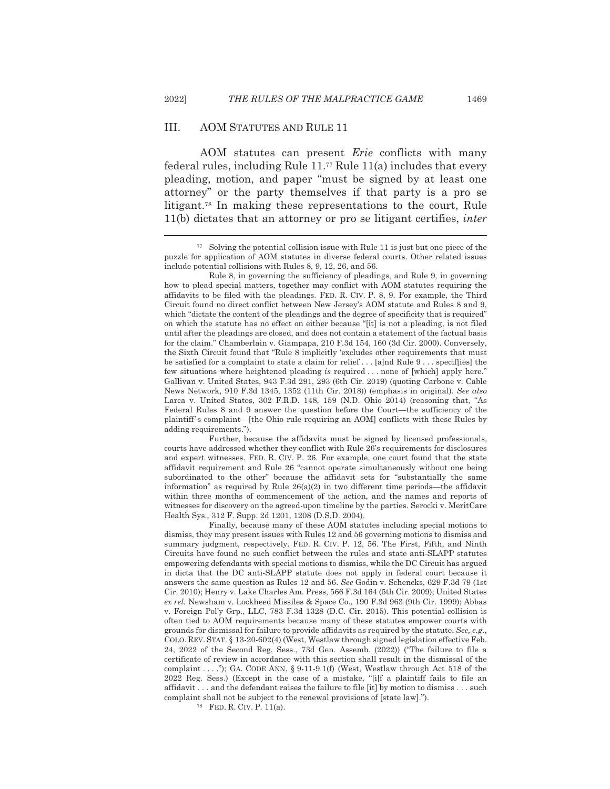#### III. **AOM STATUTES AND RULE 11**

AOM statutes can present *Erie* conflicts with many federal rules, including Rule  $11.^{77}$  Rule  $11(a)$  includes that every pleading, motion, and paper "must be signed by at least one attorney" or the party themselves if that party is a pro se litigant.<sup>78</sup> In making these representations to the court, Rule 11(b) dictates that an attorney or pro se litigant certifies, *inter* 

Further, because the affidavits must be signed by licensed professionals, courts have addressed whether they conflict with Rule 26's requirements for disclosures and expert witnesses. FED. R. CIV. P. 26. For example, one court found that the state affidavit requirement and Rule 26 "cannot operate simultaneously without one being subordinated to the other" because the affidavit sets for "substantially the same information" as required by Rule  $26(a)(2)$  in two different time periods—the affidavit within three months of commencement of the action, and the names and reports of witnesses for discovery on the agreed-upon timeline by the parties. Serocki v. MeritCare Health Sys., 312 F. Supp. 2d 1201, 1208 (D.S.D. 2004).

Finally, because many of these AOM statutes including special motions to dismiss, they may present issues with Rules 12 and 56 governing motions to dismiss and summary judgment, respectively. FED. R. CIV. P. 12, 56. The First, Fifth, and Ninth Circuits have found no such conflict between the rules and state anti-SLAPP statutes empowering defendants with special motions to dismiss, while the DC Circuit has argued in dicta that the DC anti-SLAPP statute does not apply in federal court because it answers the same question as Rules 12 and 56. See Godin v. Schencks, 629 F.3d 79 (1st) Cir. 2010); Henry v. Lake Charles Am. Press, 566 F.3d 164 (5th Cir. 2009); United States ex rel. Newsham v. Lockheed Missiles & Space Co., 190 F.3d 963 (9th Cir. 1999); Abbas v. Foreign Pol'y Grp., LLC, 783 F.3d 1328 (D.C. Cir. 2015). This potential collision is often tied to AOM requirements because many of these statutes empower courts with grounds for dismissal for failure to provide affidavits as required by the statute. See, e.g., COLO. REV. STAT. § 13-20-602(4) (West, Westlaw through signed legislation effective Feb. 24, 2022 of the Second Reg. Sess., 73d Gen. Assemb. (2022)) ("The failure to file a certificate of review in accordance with this section shall result in the dismissal of the complaint ...."); GA. CODE ANN. § 9-11-9.1(f) (West, Westlaw through Act 518 of the 2022 Reg. Sess.) (Except in the case of a mistake, "[i]f a plaintiff fails to file an affidavit . . . and the defendant raises the failure to file [it] by motion to dismiss . . . such complaint shall not be subject to the renewal provisions of [state law].").

<sup>78</sup> FED. R. CIV. P. 11(a).

1469

<sup>&</sup>lt;sup>77</sup> Solving the potential collision issue with Rule 11 is just but one piece of the puzzle for application of AOM statutes in diverse federal courts. Other related issues include potential collisions with Rules 8, 9, 12, 26, and 56.

Rule 8, in governing the sufficiency of pleadings, and Rule 9, in governing how to plead special matters, together may conflict with AOM statutes requiring the affidavits to be filed with the pleadings. FED. R. CIV. P. 8, 9. For example, the Third Circuit found no direct conflict between New Jersey's AOM statute and Rules 8 and 9, which "dictate the content of the pleadings and the degree of specificity that is required" on which the statute has no effect on either because "[it] is not a pleading, is not filed until after the pleadings are closed, and does not contain a statement of the factual basis for the claim." Chamberlain v. Giampapa, 210 F.3d 154, 160 (3d Cir. 2000). Conversely, the Sixth Circuit found that "Rule 8 implicitly 'excludes other requirements that must be satisfied for a complaint to state a claim for relief... [a]nd Rule 9... specifies] the few situations where heightened pleading is required ... none of [which] apply here." Gallivan v. United States, 943 F.3d 291, 293 (6th Cir. 2019) (quoting Carbone v. Cable News Network, 910 F.3d 1345, 1352 (11th Cir. 2018)) (emphasis in original). See also Larca v. United States, 302 F.R.D. 148, 159 (N.D. Ohio 2014) (reasoning that, "As Federal Rules 8 and 9 answer the question before the Court—the sufficiency of the plaintiff's complaint—[the Ohio rule requiring an AOM] conflicts with these Rules by adding requirements.").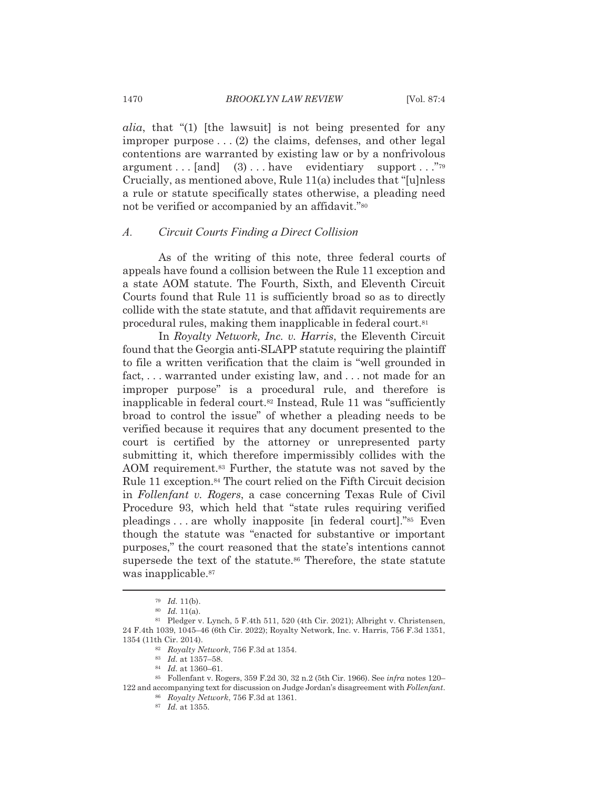*alia*, that "(1) [the law suit] is not being presented for any improper purpose  $\dots$  (2) the claims, defenses, and other legal contentions are warranted by existing law or by a nonfrivolous argument... [and]  $(3)$ ... have evidentiary support..."<sup>79</sup> Crucially, as mentioned above, Rule 11(a) includes that "[u]nless a rule or statute specifically states otherwise, a pleading need not be verified or accompanied by an affidavit."<sup>80</sup>

#### Circuit Courts Finding a Direct Collision  $A$ .

As of the writing of this note, three federal courts of appeals have found a collision between the Rule 11 exception and a state AOM statute. The Fourth, Sixth, and Eleventh Circuit Courts found that Rule 11 is sufficiently broad so as to directly collide with the state statute, and that affidavit requirements are procedural rules, making them inapplicable in federal court.<sup>81</sup>

In Royalty Network, Inc. v. Harris, the Eleventh Circuit found that the Georgia anti-SLAPP statute requiring the plaintiff to file a written verification that the claim is "well grounded in fact, ... warranted under existing law, and ... not made for an improper purpose" is a procedural rule, and therefore is inapplicable in federal court.<sup>82</sup> Instead, Rule 11 was "sufficiently broad to control the issue" of whether a pleading needs to be verified because it requires that any document presented to the court is certified by the attorney or unrepresented party submitting it, which therefore impermissibly collides with the AOM requirement.<sup>83</sup> Further, the statute was not saved by the Rule 11 exception.<sup>84</sup> The court relied on the Fifth Circuit decision in Follenfant v. Rogers, a case concerning Texas Rule of Civil Procedure 93, which held that "state rules requiring verified pleadings...are wholly inapposite [in federal court]."<sup>85</sup> Even though the statute was "enacted for substantive or important purposes," the court reasoned that the state's intentions cannot supersede the text of the statute.<sup>86</sup> Therefore, the state statute was inapplicable.<sup>87</sup>

 $79$  *Id.* 11(b).

 $80$  *Id.* 11(a).

<sup>&</sup>lt;sup>81</sup> Pledger v. Lynch, 5 F.4th 511, 520 (4th Cir. 2021); Albright v. Christensen, 24 F.4th 1039, 1045-46 (6th Cir. 2022); Royalty Network, Inc. v. Harris, 756 F.3d 1351, 1354 (11th Cir. 2014).

<sup>82</sup> Royalty Network, 756 F.3d at 1354.

 $^{83}$  Id. at 1357-58.

<sup>84</sup> *Id.* at 1360-61.

<sup>&</sup>lt;sup>85</sup> Follenfant v. Rogers, 359 F.2d 30, 32 n.2 (5th Cir. 1966). See infra notes 120-122 and accompanying text for discussion on Judge Jordan's disagreement with Follenfant.

<sup>86</sup> Royalty Network, 756 F.3d at 1361.

 $87$  *Id.* at 1355.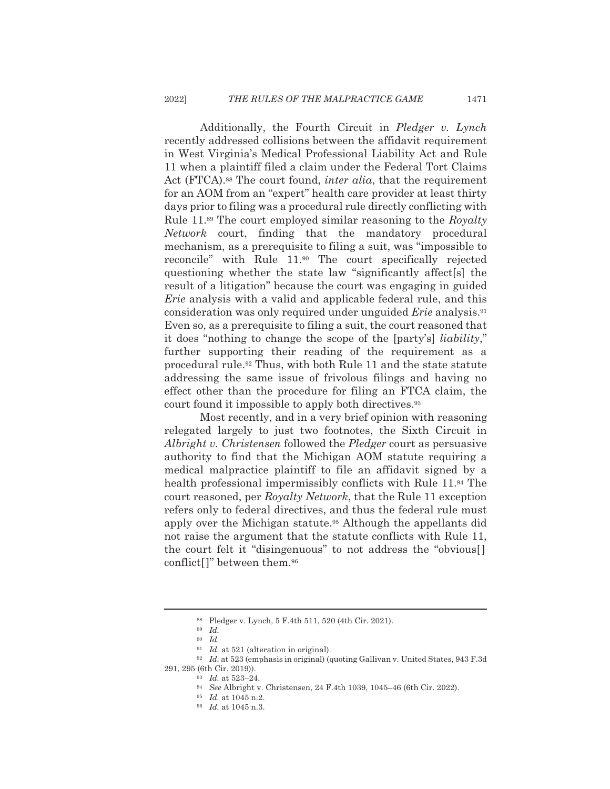Additionally, the Fourth Circuit in *Pledger v. Lynch* recently addressed collisions between the affidavit requirement in West Virginia's Medical Professional Liability Act and Rule 11 when a plaintiff filed a claim under the Federal Tort Claims Act (FTCA).<sup>88</sup> The court found, *inter alia*, that the requirement for an AOM from an "expert" health care provider at least thirty days prior to filing was a procedural rule directly conflicting with Rule 11.<sup>89</sup> The court employed similar reasoning to the Royalty *Network* court, finding that the mandatory procedural mechanism, as a prerequisite to filing a suit, was "impossible to reconcile" with Rule 11.<sup>90</sup> The court specifically rejected questioning whether the state law "significantly affect[s] the result of a litigation" because the court was engaging in guided *Erie* analysis with a valid and applicable federal rule, and this consideration was only required under unguided *Erie* analysis.<sup>91</sup> Even so, as a prerequisite to filing a suit, the court reasoned that it does "nothing to change the scope of the [party's] *liability*," further supporting their reading of the requirement as a procedural rule.<sup>92</sup> Thus, with both Rule 11 and the state statute addressing the same issue of frivolous filings and having no effect other than the procedure for filing an FTCA claim, the court found it impossible to apply both directives.<sup>93</sup>

Most recently, and in a very brief opinion with reasoning relegated largely to just two footnotes, the Sixth Circuit in Albright v. Christensen followed the Pledger court as persuasive authority to find that the Michigan AOM statute requiring a medical malpractice plaintiff to file an affidavit signed by a health professional impermissibly conflicts with Rule 11.94 The court reasoned, per Royalty Network, that the Rule 11 exception refers only to federal directives, and thus the federal rule must apply over the Michigan statute.<sup>95</sup> Although the appellants did not raise the argument that the statute conflicts with Rule 11, the court felt it "disingenuous" to not address the "obvious<sup>[]</sup> conflict[]" between them.<sup>96</sup>

<sup>88</sup> Pledger v. Lynch, 5 F.4th 511, 520 (4th Cir. 2021).

 $89$  Id.

 $90$  *Id.* 

 $91$  *Id.* at 521 (alteration in original).

<sup>&</sup>lt;sup>92</sup> Id. at 523 (emphasis in original) (quoting Gallivan v. United States, 943 F.3d 291, 295 (6th Cir. 2019)).

<sup>&</sup>lt;sup>93</sup> Id. at 523-24.

<sup>&</sup>lt;sup>94</sup> See Albright v. Christensen, 24 F.4th 1039, 1045–46 (6th Cir. 2022).

<sup>&</sup>lt;sup>95</sup> Id. at 1045 n.2.

<sup>&</sup>lt;sup>96</sup> Id. at 1045 n.3.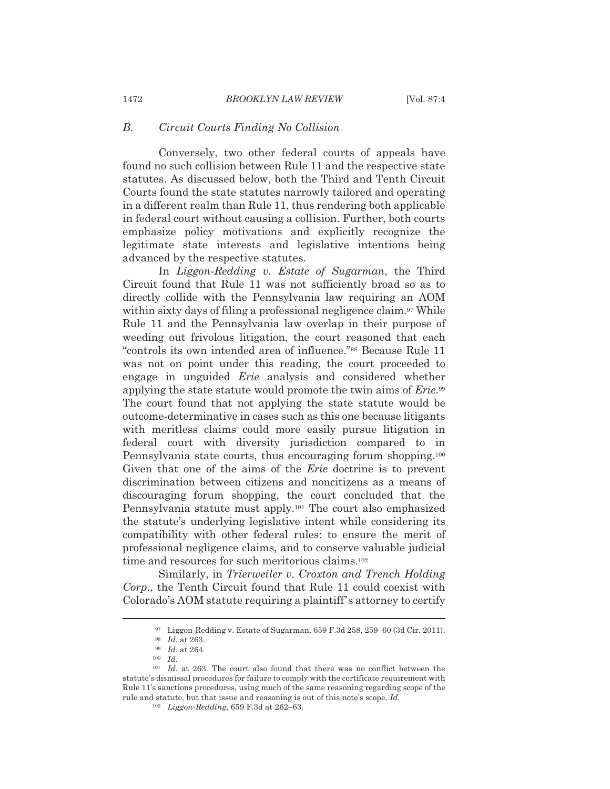#### $B$ . Circuit Courts Finding No Collision

Conversely, two other federal courts of appeals have found no such collision between Rule 11 and the respective state statutes. As discussed below, both the Third and Tenth Circuit Courts found the state statutes narrowly tailored and operating in a different realm than Rule 11, thus rendering both applicable in federal court without causing a collision. Further, both courts emphasize policy motivations and explicitly recognize the legitimate state interests and legislative intentions being advanced by the respective statutes.

In Liggon-Redding v. Estate of Sugarman, the Third Circuit found that Rule 11 was not sufficiently broad so as to directly collide with the Pennsylvania law requiring an AOM within sixty days of filing a professional negligence claim.<sup>97</sup> While Rule 11 and the Pennsylvania law overlap in their purpose of weeding out frivolous litigation, the court reasoned that each "controls its own intended area of influence."<sup>98</sup> Because Rule 11 was not on point under this reading, the court proceeded to engage in unguided *Erie* analysis and considered whether applying the state statute would promote the twin aims of *Erie*.<sup>99</sup> The court found that not applying the state statute would be outcome-determinative in cases such as this one because litigants with meritless claims could more easily pursue litigation in federal court with diversity jurisdiction compared to in Pennsylvania state courts, thus encouraging forum shopping.<sup>100</sup> Given that one of the aims of the *Erie* doctrine is to prevent discrimination between citizens and noncitizens as a means of discouraging forum shopping, the court concluded that the Pennsylvania statute must apply.<sup>101</sup> The court also emphasized the statute's underlying legislative intent while considering its compatibility with other federal rules: to ensure the merit of professional negligence claims, and to conserve valuable judicial time and resources for such meritorious claims.<sup>102</sup>

Similarly, in Trierweiler v. Croxton and Trench Holding Corp., the Tenth Circuit found that Rule 11 could coexist with Colorado's AOM statute requiring a plaintiff's attorney to certify

<sup>&</sup>lt;sup>97</sup> Liggon-Redding v. Estate of Sugarman, 659 F.3d 258, 259-60 (3d Cir. 2011).

<sup>&</sup>lt;sup>98</sup> Id. at 263.

<sup>&</sup>lt;sup>99</sup> Id. at 264.

 $100$  *Id.* 

 $101$  *Id.* at 263. The court also found that there was no conflict between the statute's dismissal procedures for failure to comply with the certificate requirement with Rule 11's sanctions procedures, using much of the same reasoning regarding scope of the rule and statute, but that issue and reasoning is out of this note's scope. Id.

<sup>&</sup>lt;sup>102</sup> Liggon-Redding, 659 F.3d at 262-63.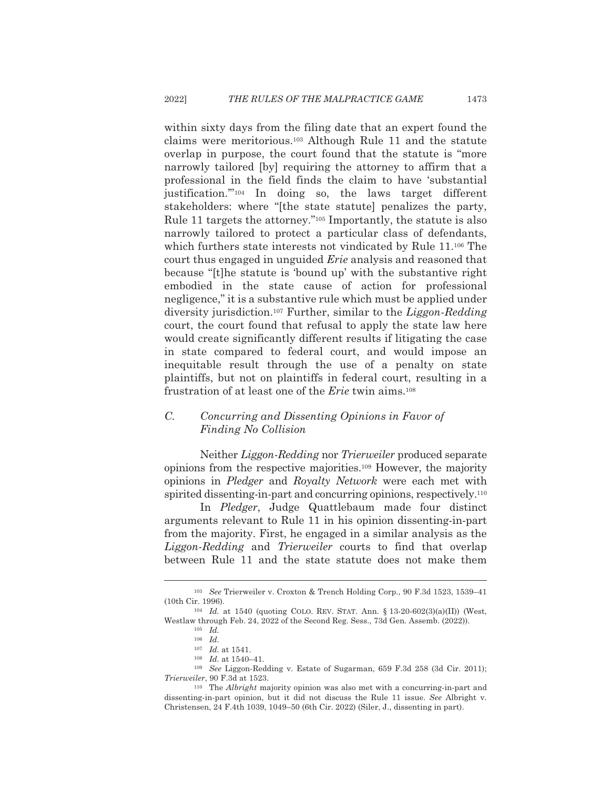within sixty days from the filing date that an expert found the claims were meritorious.<sup>103</sup> Although Rule 11 and the statute overlap in purpose, the court found that the statute is "more" narrowly tailored [by] requiring the attorney to affirm that a professional in the field finds the claim to have 'substantial justification."<sup>104</sup> In doing so, the laws target different stakeholders: where "[the state statute] penalizes the party, Rule 11 targets the attorney."<sup>105</sup> Importantly, the statute is also narrowly tailored to protect a particular class of defendants, which furthers state interests not vindicated by Rule 11.<sup>106</sup> The court thus engaged in unguided *Erie* analysis and reasoned that because "[t] he statute is 'bound up' with the substantive right embodied in the state cause of action for professional negligence," it is a substantive rule which must be applied under diversity jurisdiction.<sup>107</sup> Further, similar to the *Liggon-Redding* court, the court found that refusal to apply the state law here would create significantly different results if litigating the case in state compared to federal court, and would impose an inequitable result through the use of a penalty on state plaintiffs, but not on plaintiffs in federal court, resulting in a frustration of at least one of the *Erie* twin aims.<sup>108</sup>

## $C_{\cdot}$ Concurring and Dissenting Opinions in Favor of Finding No Collision

Neither Liggon-Redding nor Trierweiler produced separate opinions from the respective majorities.<sup>109</sup> However, the majority opinions in *Pledger* and *Royalty Network* were each met with spirited dissenting-in-part and concurring opinions, respectively.<sup>110</sup>

In *Pledger*, Judge Quattlebaum made four distinct arguments relevant to Rule 11 in his opinion dissenting-in-part from the majority. First, he engaged in a similar analysis as the Liggon-Redding and Trierweiler courts to find that overlap between Rule 11 and the state statute does not make them

<sup>&</sup>lt;sup>103</sup> See Trierweiler v. Croxton & Trench Holding Corp., 90 F.3d 1523, 1539-41 (10th Cir. 1996).

<sup>&</sup>lt;sup>104</sup> *Id.* at 1540 (quoting COLO. REV. STAT. Ann. § 13-20-602(3)(a)(II)) (West, Westlaw through Feb. 24, 2022 of the Second Reg. Sess., 73d Gen. Assemb. (2022)).

 $^{105}\;$   $Id.$ 

 $106$  *Id.* 

 $107$  *Id.* at 1541.

 $^{\rm 108}$   $\,$   $\!Id.$  at 1540–41.

<sup>&</sup>lt;sup>109</sup> See Liggon-Redding v. Estate of Sugarman, 659 F.3d 258 (3d Cir. 2011); Trierweiler, 90 F.3d at 1523.

 $110$  The *Albright* majority opinion was also met with a concurring-in-part and dissenting-in-part opinion, but it did not discuss the Rule 11 issue. See Albright v. Christensen, 24 F.4th 1039, 1049-50 (6th Cir. 2022) (Siler, J., dissenting in part).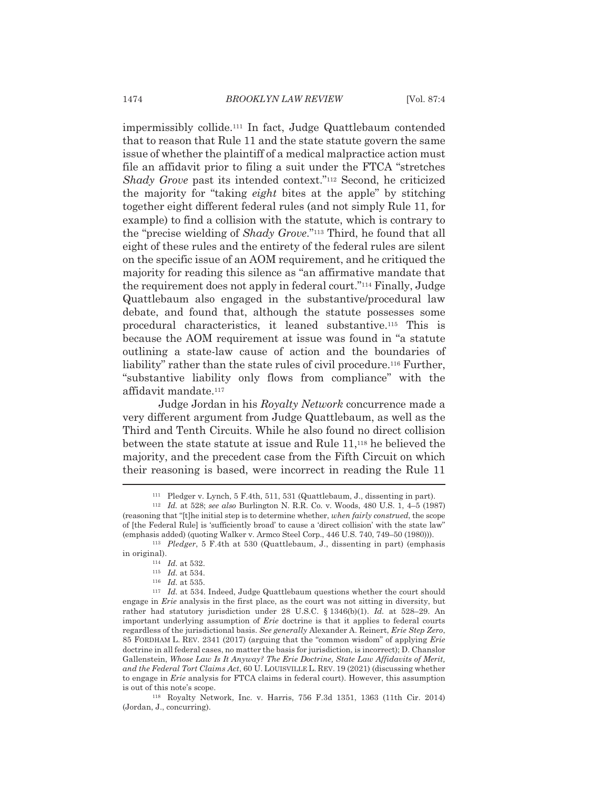impermissibly collide.<sup>111</sup> In fact, Judge Quattlebaum contended that to reason that Rule 11 and the state statute govern the same issue of whether the plaintiff of a medical malpractice action must file an affidavit prior to filing a suit under the FTCA "stretches" Shady Grove past its intended context."<sup>112</sup> Second, he criticized the majority for "taking *eight* bites at the apple" by stitching together eight different federal rules (and not simply Rule 11, for example) to find a collision with the statute, which is contrary to the "precise wielding of Shady Grove."<sup>113</sup> Third, he found that all eight of these rules and the entirety of the federal rules are silent on the specific issue of an AOM requirement, and he critiqued the majority for reading this silence as "an affirmative mandate that the requirement does not apply in federal court."<sup>114</sup> Finally, Judge Quattlebaum also engaged in the substantive/procedural law debate, and found that, although the statute possesses some procedural characteristics, it leaned substantive.<sup>115</sup> This is because the AOM requirement at issue was found in "a statute" outlining a state-law cause of action and the boundaries of liability" rather than the state rules of civil procedure.<sup>116</sup> Further, "substantive liability only flows from compliance" with the affidavit mandate.<sup>117</sup>

Judge Jordan in his Royalty Network concurrence made a very different argument from Judge Quattlebaum, as well as the Third and Tenth Circuits. While he also found no direct collision between the state statute at issue and Rule 11,<sup>118</sup> he believed the majority, and the precedent case from the Fifth Circuit on which their reasoning is based, were incorrect in reading the Rule 11

<sup>&</sup>lt;sup>111</sup> Pledger v. Lynch, 5 F.4th, 511, 531 (Quattlebaum, J., dissenting in part).

<sup>&</sup>lt;sup>112</sup> Id. at 528; see also Burlington N. R.R. Co. v. Woods, 480 U.S. 1, 4-5 (1987) (reasoning that "[t]he initial step is to determine whether, when fairly construed, the scope of [the Federal Rule] is 'sufficiently broad' to cause a 'direct collision' with the state law" (emphasis added) (quoting Walker v. Armco Steel Corp., 446 U.S. 740, 749–50 (1980))).

 $113$  Pledger, 5 F.4th at 530 (Quattlebaum, J., dissenting in part) (emphasis in original).

 $114$  *Id.* at 532.

 $115$  *Id.* at 534.

 $116$  *Id* at 535

 $117$  *Id.* at 534. Indeed, Judge Quattlebaum questions whether the court should engage in *Erie* analysis in the first place, as the court was not sitting in diversity, but rather had statutory jurisdiction under 28 U.S.C. § 1346(b)(1). Id. at 528-29. An important underlying assumption of *Erie* doctrine is that it applies to federal courts regardless of the jurisdictional basis. See generally Alexander A. Reinert, Erie Step Zero, 85 FORDHAM L. REV. 2341 (2017) (arguing that the "common wisdom" of applying Erie doctrine in all federal cases, no matter the basis for jurisdiction, is incorrect); D. Chanslor Gallenstein, Whose Law Is It Anyway? The Erie Doctrine, State Law Affidavits of Merit, and the Federal Tort Claims Act, 60 U. LOUISVILLE L. REV. 19 (2021) (discussing whether to engage in *Erie* analysis for FTCA claims in federal court). However, this assumption is out of this note's scope.

<sup>&</sup>lt;sup>118</sup> Royalty Network, Inc. v. Harris, 756 F.3d 1351, 1363 (11th Cir. 2014) (Jordan, J., concurring).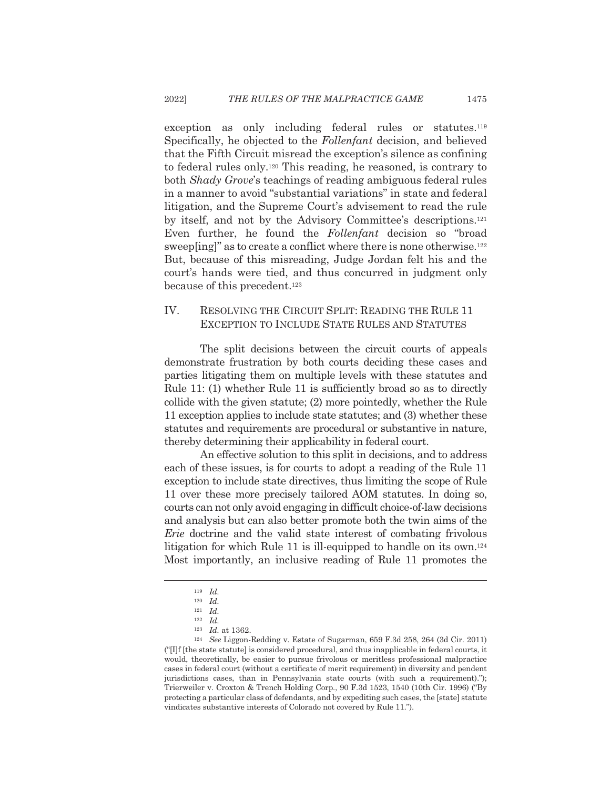exception as only including federal rules or statutes.<sup>119</sup> Specifically, he objected to the Follenfant decision, and believed that the Fifth Circuit misread the exception's silence as confining to federal rules only.<sup>120</sup> This reading, he reasoned, is contrary to both Shady Grove's teachings of reading ambiguous federal rules in a manner to avoid "substantial variations" in state and federal litigation, and the Supreme Court's advisement to read the rule by itself, and not by the Advisory Committee's descriptions.<sup>121</sup> Even further, he found the Follenfant decision so "broad sweep[ing]" as to create a conflict where there is none otherwise.<sup>122</sup> But, because of this misreading, Judge Jordan felt his and the court's hands were tied, and thus concurred in judgment only because of this precedent.<sup>123</sup>

## IV. RESOLVING THE CIRCUIT SPLIT: READING THE RULE 11 EXCEPTION TO INCLUDE STATE RULES AND STATUTES

The split decisions between the circuit courts of appeals demonstrate frustration by both courts deciding these cases and parties litigating them on multiple levels with these statutes and Rule 11: (1) whether Rule 11 is sufficiently broad so as to directly collide with the given statute; (2) more pointedly, whether the Rule 11 exception applies to include state statutes; and (3) whether these statutes and requirements are procedural or substantive in nature, thereby determining their applicability in federal court.

An effective solution to this split in decisions, and to address each of these issues, is for courts to adopt a reading of the Rule 11 exception to include state directives, thus limiting the scope of Rule 11 over these more precisely tailored AOM statutes. In doing so, courts can not only avoid engaging in difficult choice-of-law decisions and analysis but can also better promote both the twin aims of the *Erie* doctrine and the valid state interest of combating frivolous litigation for which Rule 11 is ill-equipped to handle on its own.<sup>124</sup> Most importantly, an inclusive reading of Rule 11 promotes the

 $119$  *Id.* 

 $120$  *Id.*  $121$  *Id.* 

 $122$  *Id.* 

 $123$  *Id.* at 1362.

<sup>&</sup>lt;sup>124</sup> See Liggon-Redding v. Estate of Sugarman, 659 F.3d 258, 264 (3d Cir. 2011) ("IIf [the state statute] is considered procedural, and thus inapplicable in federal courts, it would, theoretically, be easier to pursue frivolous or meritless professional malpractice cases in federal court (without a certificate of merit requirement) in diversity and pendent jurisdictions cases, than in Pennsylvania state courts (with such a requirement)."); Trierweiler v. Croxton & Trench Holding Corp., 90 F.3d 1523, 1540 (10th Cir. 1996) ("By protecting a particular class of defendants, and by expediting such cases, the [state] statute vindicates substantive interests of Colorado not covered by Rule 11.").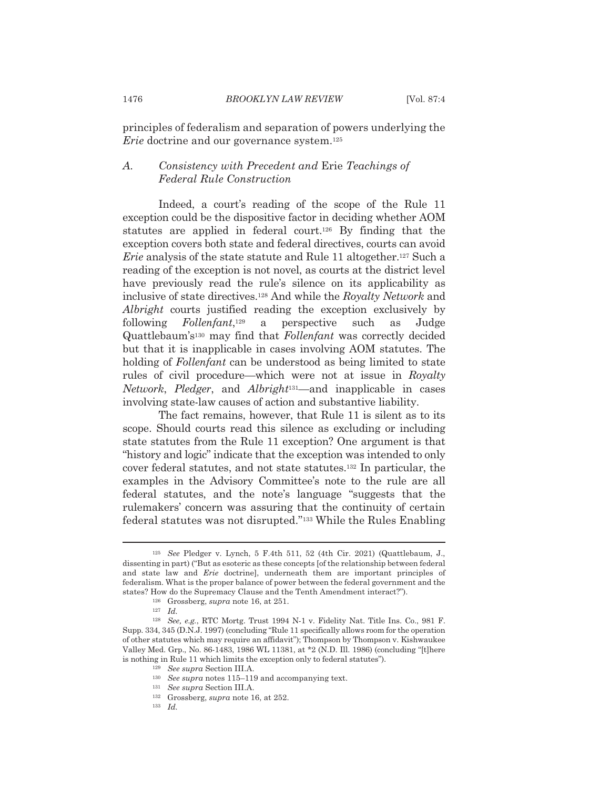principles of federalism and separation of powers underlying the *Erie* doctrine and our governance system.<sup>125</sup>

## Consistency with Precedent and Erie Teachings of А. **Federal Rule Construction**

Indeed, a court's reading of the scope of the Rule 11 exception could be the dispositive factor in deciding whether AOM statutes are applied in federal court.<sup>126</sup> By finding that the exception covers both state and federal directives, courts can avoid *Erie* analysis of the state statute and Rule 11 altogether.<sup>127</sup> Such a reading of the exception is not novel, as courts at the district level have previously read the rule's silence on its applicability as inclusive of state directives.<sup>128</sup> And while the Royalty Network and *Albright* courts justified reading the exception exclusively by following  $Follenfant$ <sup>129</sup> a perspective such as Judge Quattlebaum's<sup>130</sup> may find that *Follenfant* was correctly decided but that it is inapplicable in cases involving AOM statutes. The holding of Follenfant can be understood as being limited to state rules of civil procedure—which were not at issue in Royalty Network, Pledger, and Albright<sup>131</sup>—and inapplicable in cases involving state-law causes of action and substantive liability.

The fact remains, however, that Rule 11 is silent as to its scope. Should courts read this silence as excluding or including state statutes from the Rule 11 exception? One argument is that "history and logic" indicate that the exception was intended to only cover federal statutes, and not state statutes.<sup>132</sup> In particular, the examples in the Advisory Committee's note to the rule are all federal statutes, and the note's language "suggests that the rulemakers' concern was assuring that the continuity of certain federal statutes was not disrupted."<sup>133</sup> While the Rules Enabling

 $^{129}$   $\,$  See supra Section III.A.

<sup>&</sup>lt;sup>125</sup> See Pledger v. Lynch, 5 F.4th 511, 52 (4th Cir. 2021) (Quattlebaum, J., dissenting in part) ("But as esoteric as these concepts [of the relationship between federal and state law and *Erie* doctrinel, underneath them are important principles of federalism. What is the proper balance of power between the federal government and the states? How do the Supremacy Clause and the Tenth Amendment interact?").

 $126$  Grossberg, supra note 16, at 251.

 $127$  *Id.* 

<sup>&</sup>lt;sup>128</sup> See, e.g., RTC Mortg. Trust 1994 N-1 v. Fidelity Nat. Title Ins. Co., 981 F. Supp. 334, 345 (D.N.J. 1997) (concluding "Rule 11 specifically allows room for the operation of other statutes which may require an affidavit"); Thompson by Thompson v. Kishwaukee Valley Med. Grp., No. 86-1483, 1986 WL 11381, at \*2 (N.D. Ill. 1986) (concluding "[t]here is nothing in Rule 11 which limits the exception only to federal statutes").

 $^{130}$   $\,$  See supra notes 115–119 and accompanying text.

 $^{131}$   $\,$  See supra Section III.A.

<sup>&</sup>lt;sup>132</sup> Grossberg, *supra* note 16, at 252.

 $133$  *Id.*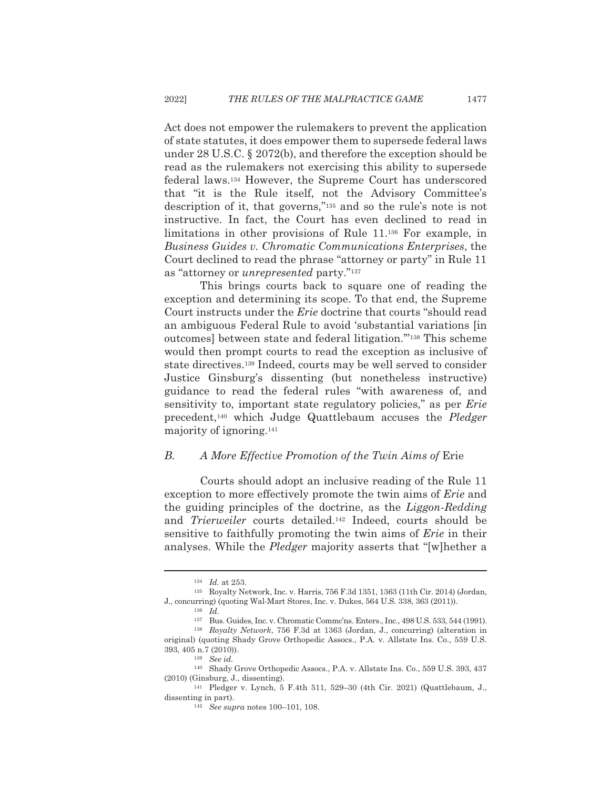Act does not empower the rulemakers to prevent the application of state statutes, it does empower them to supersede federal laws under  $28$  U.S.C. §  $2072(b)$ , and therefore the exception should be read as the rulemakers not exercising this ability to supersede federal laws.<sup>134</sup> However, the Supreme Court has underscored that "it is the Rule itself, not the Advisory Committee's description of it, that governs,"<sup>135</sup> and so the rule's note is not instructive. In fact, the Court has even declined to read in limitations in other provisions of Rule 11.<sup>136</sup> For example, in Business Guides v. Chromatic Communications Enterprises, the Court declined to read the phrase "attorney or party" in Rule 11 as "attorney or *unrepresented* party."<sup>137</sup>

This brings courts back to square one of reading the exception and determining its scope. To that end, the Supreme Court instructs under the *Erie* doctrine that courts "should read an ambiguous Federal Rule to avoid 'substantial variations [in outcomes] between state and federal litigation."<sup>138</sup> This scheme would then prompt courts to read the exception as inclusive of state directives.<sup>139</sup> Indeed, courts may be well served to consider Justice Ginsburg's dissenting (but nonetheless instructive) guidance to read the federal rules "with awareness of, and sensitivity to, important state regulatory policies," as per Erie precedent,<sup>140</sup> which Judge Quattlebaum accuses the *Pledger* majority of ignoring.<sup>141</sup>

#### $B$ . A More Effective Promotion of the Twin Aims of Erie

Courts should adopt an inclusive reading of the Rule 11 exception to more effectively promote the twin aims of *Erie* and the guiding principles of the doctrine, as the *Liggon-Redding* and Trierweiler courts detailed.<sup>142</sup> Indeed, courts should be sensitive to faithfully promoting the twin aims of *Erie* in their analyses. While the *Pledger* majority asserts that "[w] hether a

 $134$  *Id* at 253

<sup>&</sup>lt;sup>135</sup> Royalty Network, Inc. v. Harris, 756 F.3d 1351, 1363 (11th Cir. 2014) (Jordan, J., concurring) (quoting Wal-Mart Stores, Inc. v. Dukes, 564 U.S. 338, 363 (2011)).

 $136$  *Id.* 

<sup>&</sup>lt;sup>137</sup> Bus. Guides, Inc. v. Chromatic Commc'ns. Enters., Inc., 498 U.S. 533, 544 (1991). <sup>138</sup> Royalty Network, 756 F.3d at 1363 (Jordan, J., concurring) (alteration in original) (quoting Shady Grove Orthopedic Assocs., P.A. v. Allstate Ins. Co., 559 U.S.

<sup>393, 405</sup> n.7 (2010)).

 $^{139}$  See id.

<sup>&</sup>lt;sup>140</sup> Shady Grove Orthopedic Assocs., P.A. v. Allstate Ins. Co., 559 U.S. 393, 437  $(2010)$  (Ginsburg, J., dissenting).

<sup>&</sup>lt;sup>141</sup> Pledger v. Lynch, 5 F.4th 511, 529-30 (4th Cir. 2021) (Quattlebaum, J., dissenting in part).

<sup>&</sup>lt;sup>142</sup> See supra notes 100-101, 108.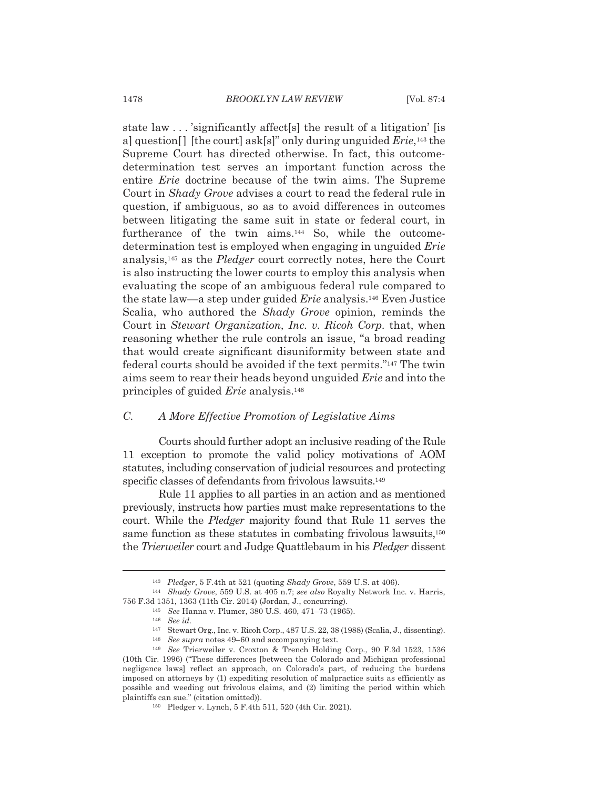state law . . . 'significantly affect [s] the result of a litigation' [is a] question [] [the court] ask[s]" only during unguided  $Erie$ ,<sup>143</sup> the Supreme Court has directed otherwise. In fact, this outcomedetermination test serves an important function across the entire *Erie* doctrine because of the twin aims. The Supreme Court in Shady Grove advises a court to read the federal rule in question, if ambiguous, so as to avoid differences in outcomes between litigating the same suit in state or federal court, in furtherance of the twin aims.<sup>144</sup> So, while the outcomedetermination test is employed when engaging in unguided Erie analysis,<sup>145</sup> as the *Pledger* court correctly notes, here the Court is also instructing the lower courts to employ this analysis when evaluating the scope of an ambiguous federal rule compared to the state law—a step under guided *Erie* analysis.<sup>146</sup> Even Justice Scalia, who authored the *Shady Grove* opinion, reminds the Court in Stewart Organization, Inc. v. Ricoh Corp. that, when reasoning whether the rule controls an issue, "a broad reading" that would create significant disuniformity between state and federal courts should be avoided if the text permits."<sup>147</sup> The twin aims seem to rear their heads beyond unguided *Erie* and into the principles of guided Erie analysis.<sup>148</sup>

#### $C$ . A More Effective Promotion of Legislative Aims

Courts should further adopt an inclusive reading of the Rule 11 exception to promote the valid policy motivations of AOM statutes, including conservation of judicial resources and protecting specific classes of defendants from frivolous lawsuits.<sup>149</sup>

Rule 11 applies to all parties in an action and as mentioned previously, instructs how parties must make representations to the court. While the *Pledger* majority found that Rule 11 serves the same function as these statutes in combating frivolous lawsuits,<sup>150</sup> the Trierweiler court and Judge Quattlebaum in his Pledger dissent

<sup>&</sup>lt;sup>143</sup> Pledger, 5 F.4th at 521 (quoting *Shady Grove*, 559 U.S. at 406).

<sup>&</sup>lt;sup>144</sup> Shady Grove, 559 U.S. at 405 n.7; see also Royalty Network Inc. v. Harris, 756 F.3d 1351, 1363 (11th Cir. 2014) (Jordan, J., concurring).

<sup>&</sup>lt;sup>145</sup> See Hanna v. Plumer, 380 U.S. 460, 471-73 (1965).

 $146$  See id.

<sup>&</sup>lt;sup>147</sup> Stewart Org., Inc. v. Ricoh Corp., 487 U.S. 22, 38 (1988) (Scalia, J., dissenting).

<sup>&</sup>lt;sup>148</sup> See supra notes 49–60 and accompanying text.

<sup>&</sup>lt;sup>149</sup> See Trierweiler v. Croxton & Trench Holding Corp., 90 F.3d 1523, 1536 (10th Cir. 1996) ("These differences [between the Colorado and Michigan professional negligence laws] reflect an approach, on Colorado's part, of reducing the burdens imposed on attorneys by (1) expediting resolution of malpractice suits as efficiently as possible and weeding out frivolous claims, and (2) limiting the period within which plaintiffs can sue." (citation omitted)).

<sup>&</sup>lt;sup>150</sup> Pledger v. Lynch, 5 F.4th 511, 520 (4th Cir. 2021).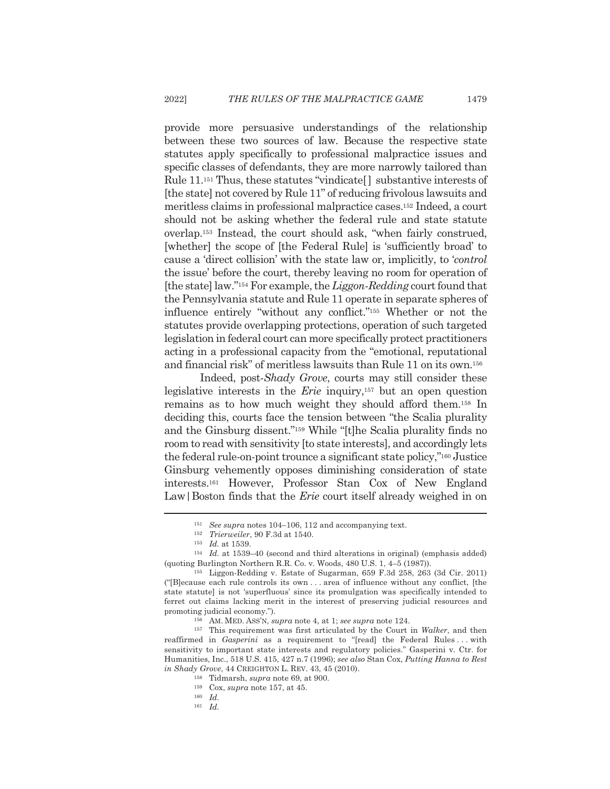provide more persuasive understandings of the relationship between these two sources of law. Because the respective state statutes apply specifically to professional malpractice issues and specific classes of defendants, they are more narrowly tailored than Rule 11.<sup>151</sup> Thus, these statutes "vindicate[] substantive interests of [the state] not covered by Rule 11" of reducing frivolous lawsuits and meritless claims in professional malpractice cases.<sup>152</sup> Indeed, a court should not be asking whether the federal rule and state statute overlap.<sup>153</sup> Instead, the court should ask, "when fairly construed, [whether] the scope of [the Federal Rule] is 'sufficiently broad' to cause a 'direct collision' with the state law or, implicitly, to 'control the issue' before the court, thereby leaving no room for operation of [the state] law."<sup>154</sup> For example, the *Liggon-Redding* court found that the Pennsylvania statute and Rule 11 operate in separate spheres of influence entirely "without any conflict."<sup>155</sup> Whether or not the statutes provide overlapping protections, operation of such targeted legislation in federal court can more specifically protect practitioners acting in a professional capacity from the "emotional, reputational and financial risk" of meritless lawsuits than Rule 11 on its own.<sup>156</sup>

Indeed, post-Shady Grove, courts may still consider these legislative interests in the  $Erie$  inquiry,<sup>157</sup> but an open question remains as to how much weight they should afford them.<sup>158</sup> In deciding this, courts face the tension between "the Scalia plurality" and the Ginsburg dissent."<sup>159</sup> While "[t]he Scalia plurality finds no room to read with sensitivity [to state interests], and accordingly lets the federal rule-on-point trounce a significant state policy,"<sup>160</sup> Justice Ginsburg vehemently opposes diminishing consideration of state interests.<sup>161</sup> However, Professor Stan Cox of New England Law Boston finds that the *Erie* court itself already weighed in on

 $151$  See supra notes 104–106, 112 and accompanying text.

 $152$  Trierweiler, 90 F.3d at 1540.

 $153$  *Id.* at 1539.

 $154$  *Id.* at 1539-40 (second and third alterations in original) (emphasis added) (quoting Burlington Northern R.R. Co. v. Woods, 480 U.S. 1, 4-5 (1987)).

<sup>&</sup>lt;sup>155</sup> Liggon-Redding v. Estate of Sugarman, 659 F.3d 258, 263 (3d Cir. 2011) ("Blecause each rule controls its own...area of influence without any conflict, [the state statute] is not 'superfluous' since its promulgation was specifically intended to ferret out claims lacking merit in the interest of preserving judicial resources and promoting judicial economy.").

AM. MED. ASS'N, *supra* note 4, at 1; see supra note 124.

 $157$  This requirement was first articulated by the Court in Walker, and then reaffirmed in *Gasperini* as a requirement to "[read] the Federal Rules...with sensitivity to important state interests and regulatory policies." Gasperini v. Ctr. for Humanities, Inc., 518 U.S. 415, 427 n.7 (1996); see also Stan Cox, Putting Hanna to Rest in Shady Grove, 44 CREIGHTON L. REV. 43, 45 (2010).

<sup>&</sup>lt;sup>158</sup> Tidmarsh, *supra* note 69, at 900.

<sup>&</sup>lt;sup>159</sup> Cox, *supra* note 157, at 45.

 $160$  *Id.* 

 $161$  *Id.*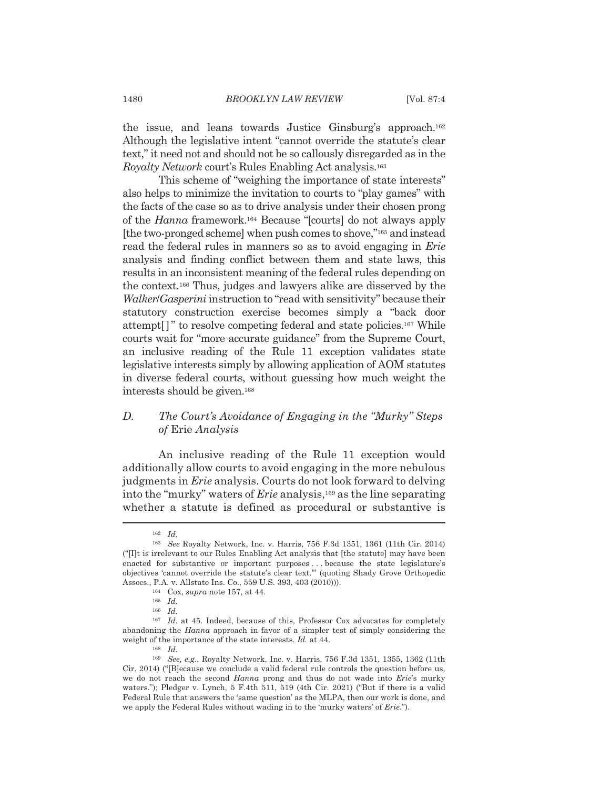the issue, and leans towards Justice Ginsburg's approach.<sup>162</sup> Although the legislative intent "cannot override the statute's clear text," it need not and should not be so callously disregarded as in the Royalty Network court's Rules Enabling Act analysis.<sup>163</sup>

This scheme of "weighing the importance of state interests" also helps to minimize the invitation to courts to "play games" with the facts of the case so as to drive analysis under their chosen prong of the *Hanna* framework.<sup>164</sup> Because "[courts] do not always apply [the two-pronged scheme] when push comes to shove,"<sup>165</sup> and instead read the federal rules in manners so as to avoid engaging in Erie analysis and finding conflict between them and state laws, this results in an inconsistent meaning of the federal rules depending on the context.<sup>166</sup> Thus, judges and lawyers alike are disserved by the Walker/Gasperini instruction to "read with sensitivity" because their statutory construction exercise becomes simply a "back door" attempt<sup>[]</sup>" to resolve competing federal and state policies.<sup>167</sup> While courts wait for "more accurate guidance" from the Supreme Court, an inclusive reading of the Rule 11 exception validates state legislative interests simply by allowing application of AOM statutes in diverse federal courts, without guessing how much weight the interests should be given.<sup>168</sup>

## The Court's Avoidance of Engaging in the "Murky" Steps  $D.$ *of Erie Analysis*

An inclusive reading of the Rule 11 exception would additionally allow courts to avoid engaging in the more nebulous judgments in *Erie* analysis. Courts do not look forward to delving into the "murky" waters of *Erie* analysis,<sup>169</sup> as the line separating whether a statute is defined as procedural or substantive is

 $162$  *Id.* 

<sup>&</sup>lt;sup>163</sup> See Royalty Network, Inc. v. Harris, 756 F.3d 1351, 1361 (11th Cir. 2014) ("IIt is irrelevant to our Rules Enabling Act analysis that [the statute] may have been enacted for substantive or important purposes ... because the state legislature's objectives 'cannot override the statute's clear text." (quoting Shady Grove Orthopedic Assocs., P.A. v. Allstate Ins. Co., 559 U.S. 393, 403 (2010))).

<sup>&</sup>lt;sup>164</sup> Cox, *supra* note 157, at 44.

 $165$  *Id.* 

 $166$  *Id.* 

<sup>&</sup>lt;sup>167</sup> Id. at 45. Indeed, because of this, Professor Cox advocates for completely abandoning the *Hanna* approach in favor of a simpler test of simply considering the weight of the importance of the state interests. Id. at 44.

 $168$  *Id.* 

 $^{169}$  See, e.g., Royalty Network, Inc. v. Harris, 756 F.3d 1351, 1355, 1362 (11th Cir. 2014) ("[B] ecause we conclude a valid federal rule controls the question before us, we do not reach the second Hanna prong and thus do not wade into Erie's murky waters."); Pledger v. Lynch, 5 F.4th 511, 519 (4th Cir. 2021) ("But if there is a valid Federal Rule that answers the 'same question' as the MLPA, then our work is done, and we apply the Federal Rules without wading in to the 'murky waters' of Erie.").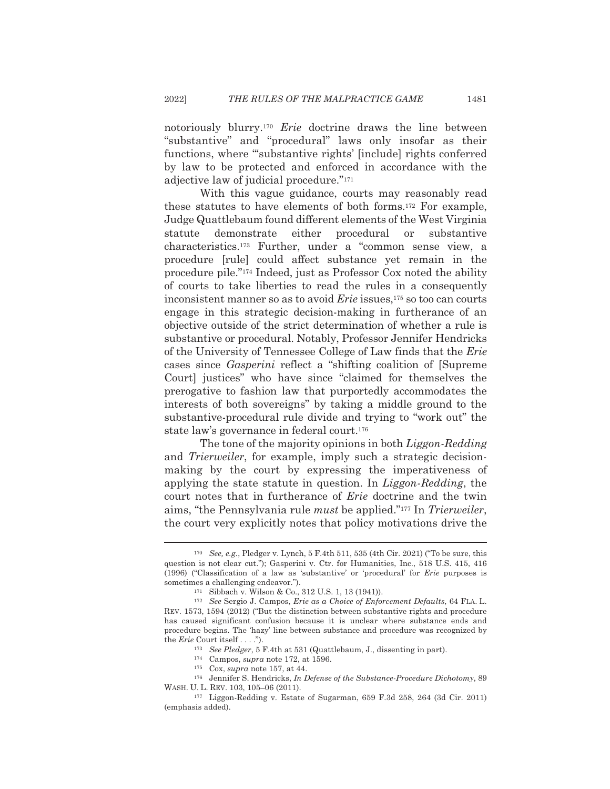notoriously blurry.<sup>170</sup> Erie doctrine draws the line between "substantive" and "procedural" laws only insofar as their functions, where "substantive rights' [include] rights conferred by law to be protected and enforced in accordance with the adjective law of judicial procedure."171

With this vague guidance, courts may reasonably read these statutes to have elements of both forms.<sup>172</sup> For example, Judge Quattlebaum found different elements of the West Virginia statute demonstrate either procedural <sub>or</sub> substantive characteristics.<sup>173</sup> Further, under a "common sense view, a procedure [rule] could affect substance yet remain in the procedure pile."<sup>174</sup> Indeed, just as Professor Cox noted the ability of courts to take liberties to read the rules in a consequently inconsistent manner so as to avoid *Erie* issues.<sup>175</sup> so too can courts engage in this strategic decision-making in furtherance of an objective outside of the strict determination of whether a rule is substantive or procedural. Notably, Professor Jennifer Hendricks of the University of Tennessee College of Law finds that the Erie cases since *Gasperini* reflect a "shifting coalition of [Supreme] Court] justices" who have since "claimed for themselves the prerogative to fashion law that purportedly accommodates the interests of both sovereigns" by taking a middle ground to the substantive-procedural rule divide and trying to "work out" the state law's governance in federal court.<sup>176</sup>

The tone of the majority opinions in both Liggon-Redding and *Trierweiler*, for example, imply such a strategic decisionmaking by the court by expressing the imperativeness of applying the state statute in question. In *Liggon-Redding*, the court notes that in furtherance of *Erie* doctrine and the twin aims, "the Pennsylvania rule *must* be applied."<sup>177</sup> In *Trierweiler*, the court very explicitly notes that policy motivations drive the

<sup>&</sup>lt;sup>170</sup> See, e.g., Pledger v. Lynch, 5 F.4th 511, 535 (4th Cir. 2021) ("To be sure, this question is not clear cut."); Gasperini v. Ctr. for Humanities, Inc., 518 U.S. 415, 416 (1996) ("Classification of a law as 'substantive' or 'procedural' for *Erie* purposes is sometimes a challenging endeavor.").

<sup>&</sup>lt;sup>171</sup> Sibbach v. Wilson & Co., 312 U.S. 1, 13 (1941)).

<sup>&</sup>lt;sup>172</sup> See Sergio J. Campos, *Erie as a Choice of Enforcement Defaults*, 64 FLA. L. REV. 1573, 1594 (2012) ("But the distinction between substantive rights and procedure has caused significant confusion because it is unclear where substance ends and procedure begins. The 'hazy' line between substance and procedure was recognized by the  $Eric$  Court itself  $\ldots$ .").

<sup>&</sup>lt;sup>173</sup> See Pledger, 5 F.4th at 531 (Quattlebaum, J., dissenting in part).

 $^{174}~$  Campos, supra note 172, at 1596.

<sup>&</sup>lt;sup>175</sup> Cox, *supra* note 157, at 44.

<sup>&</sup>lt;sup>176</sup> Jennifer S. Hendricks, *In Defense of the Substance-Procedure Dichotomy*, 89 WASH. U. L. REV. 103, 105-06 (2011).

 $177$  Liggon-Redding v. Estate of Sugarman, 659 F.3d 258, 264 (3d Cir. 2011) (emphasis added).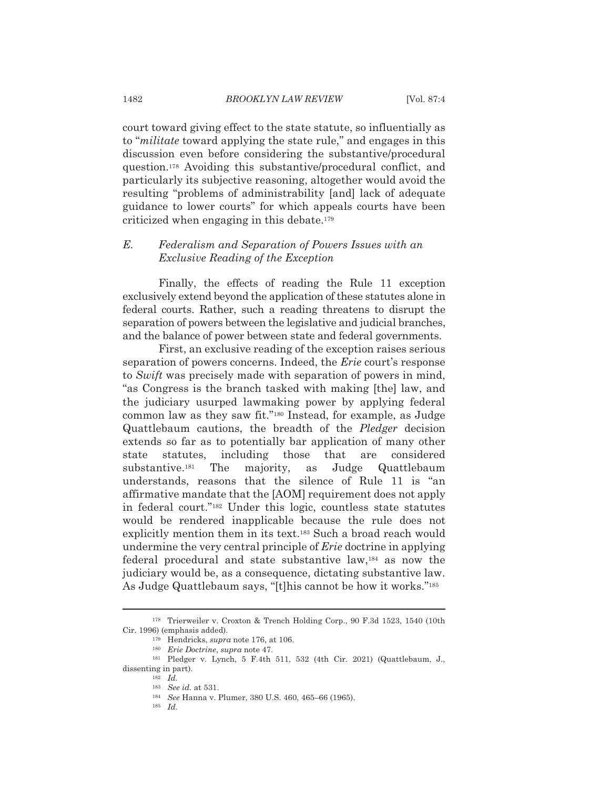court toward giving effect to the state statute, so influentially as to "*militate* toward applying the state rule," and engages in this discussion even before considering the substantive/procedural question.<sup>178</sup> Avoiding this substantive/procedural conflict, and particularly its subjective reasoning, altogether would avoid the resulting "problems of administrability [and] lack of adequate guidance to lower courts" for which appeals courts have been criticized when engaging in this debate.<sup>179</sup>

### $E$ . Federalism and Separation of Powers Issues with an Exclusive Reading of the Exception

Finally, the effects of reading the Rule 11 exception exclusively extend beyond the application of these statutes alone in federal courts. Rather, such a reading threatens to disrupt the separation of powers between the legislative and judicial branches, and the balance of power between state and federal governments.

First, an exclusive reading of the exception raises serious separation of powers concerns. Indeed, the *Erie* court's response to Swift was precisely made with separation of powers in mind. "as Congress is the branch tasked with making [the] law, and the judiciary usurped lawmaking power by applying federal common law as they saw fit."<sup>180</sup> Instead, for example, as Judge Quattlebaum cautions, the breadth of the *Pledger* decision extends so far as to potentially bar application of many other statutes. including those that are considered state substantive.<sup>181</sup> The majority, Judge Quattlebaum as understands, reasons that the silence of Rule 11 is "an affirmative mandate that the [AOM] requirement does not apply in federal court."<sup>182</sup> Under this logic, countless state statutes would be rendered inapplicable because the rule does not explicitly mention them in its text.<sup>183</sup> Such a broad reach would undermine the very central principle of *Erie* doctrine in applying federal procedural and state substantive law,<sup>184</sup> as now the judiciary would be, as a consequence, dictating substantive law. As Judge Quattlebaum says, "[t]his cannot be how it works."<sup>185</sup>

<sup>&</sup>lt;sup>178</sup> Trierweiler v. Croxton & Trench Holding Corp., 90 F.3d 1523, 1540 (10th Cir. 1996) (emphasis added).

<sup>&</sup>lt;sup>179</sup> Hendricks, *supra* note 176, at 106.

<sup>&</sup>lt;sup>180</sup> Erie Doctrine, supra note 47.

<sup>&</sup>lt;sup>181</sup> Pledger v. Lynch, 5 F.4th 511, 532 (4th Cir. 2021) (Quattlebaum, J., dissenting in part).

 $182$  *Id.* 

 $183$  See id. at 531.

<sup>&</sup>lt;sup>184</sup> See Hanna v. Plumer, 380 U.S. 460, 465-66 (1965).

 $185$  *Id.*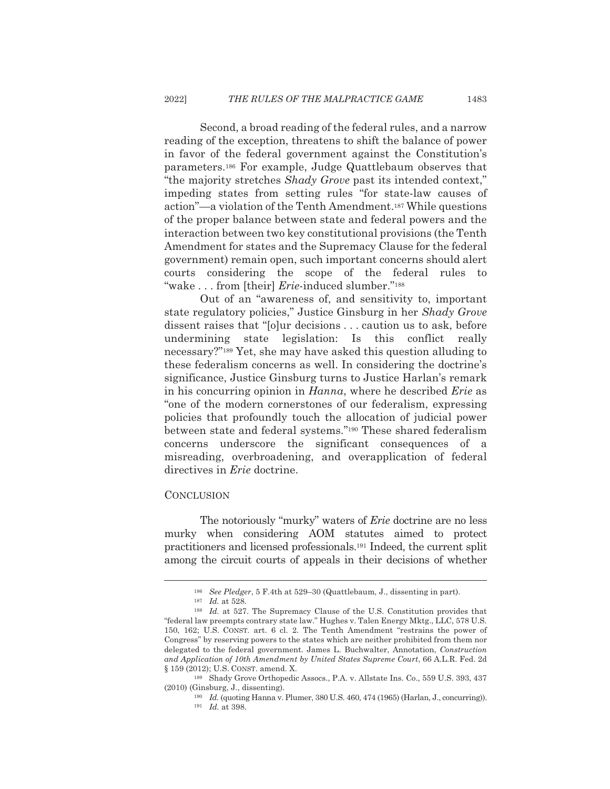Second, a broad reading of the federal rules, and a narrow reading of the exception, threatens to shift the balance of power in favor of the federal government against the Constitution's parameters.<sup>186</sup> For example, Judge Quattlebaum observes that "the majority stretches Shady Grove past its intended context," impeding states from setting rules "for state-law causes of action"—a violation of the Tenth Amendment.<sup>187</sup> While questions of the proper balance between state and federal powers and the interaction between two key constitutional provisions (the Tenth Amendment for states and the Supremacy Clause for the federal government) remain open, such important concerns should alert courts considering the scope of the federal rules to "wake...from [their] *Erie*-induced slumber."<sup>188</sup>

Out of an "awareness of, and sensitivity to, important state regulatory policies," Justice Ginsburg in her Shady Grove dissent raises that "[o]ur decisions . . . caution us to ask, before undermining state legislation: Is this conflict really necessary?"<sup>189</sup> Yet, she may have asked this question alluding to these federalism concerns as well. In considering the doctrine's significance, Justice Ginsburg turns to Justice Harlan's remark in his concurring opinion in *Hanna*, where he described *Erie* as "one of the modern cornerstones of our federalism, expressing policies that profoundly touch the allocation of judicial power between state and federal systems."<sup>190</sup> These shared federalism concerns underscore the significant consequences of a misreading, overbroadening, and overapplication of federal directives in *Erie* doctrine.

## **CONCLUSION**

The notoriously "murky" waters of *Erie* doctrine are no less murky when considering AOM statutes aimed to protect practitioners and licensed professionals.<sup>191</sup> Indeed, the current split among the circuit courts of appeals in their decisions of whether

<sup>&</sup>lt;sup>186</sup> See Pledger, 5 F.4th at 529–30 (Quattlebaum, J., dissenting in part).

 $187$  *Id.* at 528.

<sup>&</sup>lt;sup>188</sup> Id. at 527. The Supremacy Clause of the U.S. Constitution provides that "federal law preempts contrary state law." Hughes v. Talen Energy Mktg., LLC, 578 U.S. 150, 162; U.S. CONST. art. 6 cl. 2. The Tenth Amendment "restrains the power of Congress" by reserving powers to the states which are neither prohibited from them nor delegated to the federal government. James L. Buchwalter, Annotation, Construction and Application of 10th Amendment by United States Supreme Court, 66 A.L.R. Fed. 2d § 159 (2012); U.S. CONST. amend. X.

<sup>&</sup>lt;sup>189</sup> Shady Grove Orthopedic Assocs., P.A. v. Allstate Ins. Co., 559 U.S. 393, 437  $(2010)$  (Ginsburg, J., dissenting).

<sup>&</sup>lt;sup>190</sup> Id. (quoting Hanna v. Plumer, 380 U.S. 460, 474 (1965) (Harlan, J., concurring)).  $191$  *Id.* at 398.